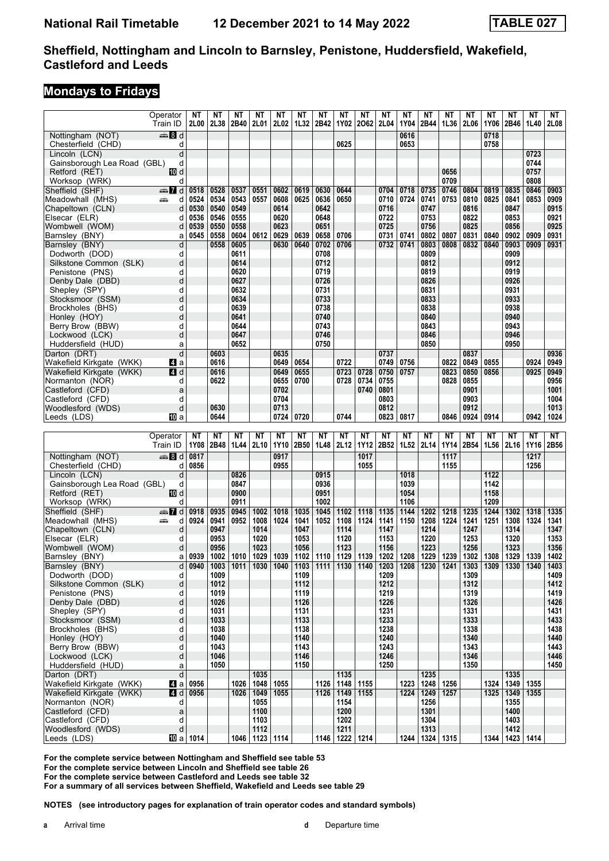# **Mondays to Fridays**

|                                             | Operator           | ΝT               | ΝT           | ΝT   | ΝT                     | ΝT   | ΝT   | ΝT   | NΤ                                   | ΝT          | ΝT   | ΝT          | ΝT                                                                                | ΝT   | <b>NT</b> | <b>NT</b> | <b>NT</b>           | <b>NT</b> | NΤ           |
|---------------------------------------------|--------------------|------------------|--------------|------|------------------------|------|------|------|--------------------------------------|-------------|------|-------------|-----------------------------------------------------------------------------------|------|-----------|-----------|---------------------|-----------|--------------|
|                                             | Train ID           | 2L00             | 2L38         | 2B40 | 2L01                   | 2L02 | 1L32 | 2B42 | 1Y02                                 | 2062        | 2L04 | 1Y04        | 2B44                                                                              | 1L36 | 2L06      | 1Y06      | 2B46                | 1L40      | 2L08         |
| Nottingham (NOT)                            | ্ৰভ্ৰূ <b>রি</b> d |                  |              |      |                        |      |      |      |                                      |             |      | 0616        |                                                                                   |      |           | 0718      |                     |           |              |
| Chesterfield (CHD)                          | d                  |                  |              |      |                        |      |      |      | 0625                                 |             |      | 0653        |                                                                                   |      |           | 0758      |                     |           |              |
| Lincoln (LCN)                               | d                  |                  |              |      |                        |      |      |      |                                      |             |      |             |                                                                                   |      |           |           |                     | 0723      |              |
| Gainsborough Lea Road (GBL)                 | d                  |                  |              |      |                        |      |      |      |                                      |             |      |             |                                                                                   |      |           |           |                     | 0744      |              |
| Retford (RET)                               | 10 d               |                  |              |      |                        |      |      |      |                                      |             |      |             |                                                                                   | 0656 |           |           |                     | 0757      |              |
| Worksop (WRK)                               | d                  |                  |              |      |                        |      |      |      |                                      |             |      |             |                                                                                   | 0709 |           |           |                     | 0808      |              |
| Sheffield (SHF)                             | dan <b>7</b> d     | 0518             | 0528         | 0537 | 0551                   | 0602 | 0619 | 0630 | 0644                                 |             | 0704 | 0718        | 0735                                                                              | 0746 | 0804      | 0819      | 0835                | 0846      | 0903         |
| Meadowhall (MHS)                            | پیش<br>d           | 0524             | 0534         | 0543 | 0557                   | 0608 | 0625 | 0636 | 0650                                 |             | 0710 | 0724        | 0741                                                                              | 0753 | 0810      | 0825      | 0841                | 0853      | 0909         |
| Chapeltown (CLN)                            | d                  | 0530             | 0540         | 0549 |                        | 0614 |      | 0642 |                                      |             | 0716 |             | 0747                                                                              |      | 0816      |           | 0847                |           | 0915         |
| Elsecar (ELR)                               | d                  | 0536             | 0546         | 0555 |                        | 0620 |      | 0648 |                                      |             | 0722 |             | 0753                                                                              |      | 0822      |           | 0853                |           | 0921         |
| Wombwell (WOM)                              | d                  | 0539             | 0550         | 0558 |                        | 0623 |      | 0651 |                                      |             | 0725 |             | 0756                                                                              |      | 0825      |           | 0856                |           | 0925         |
| Barnsley (BNY)                              | a                  | 0545             | 0558         | 0604 | 0612                   | 0629 | 0639 | 0658 | 0706                                 |             | 0731 | 0741        | 0802                                                                              | 0807 | 0831      | 0840      | 0902                | 0909      | 0931         |
| Barnsley (BNY)                              | d                  |                  | 0558         | 0605 |                        | 0630 | 0640 | 0702 | 0706                                 |             | 0732 | 0741        | 0803                                                                              | 0808 | 0832      | 0840      | 0903                | 0909      | 0931         |
| Dodworth (DOD)                              | d                  |                  |              | 0611 |                        |      |      | 0708 |                                      |             |      |             | 0809                                                                              |      |           |           | 0909                |           |              |
| Silkstone Common (SLK)                      | d                  |                  |              | 0614 |                        |      |      | 0712 |                                      |             |      |             | 0812                                                                              |      |           |           | 0912                |           |              |
| Penistone (PNS)                             | d                  |                  |              | 0620 |                        |      |      | 0719 |                                      |             |      |             | 0819                                                                              |      |           |           | 0919                |           |              |
| Denby Dale (DBD)                            | d                  |                  |              | 0627 |                        |      |      | 0726 |                                      |             |      |             | 0826                                                                              |      |           |           | 0926                |           |              |
| Shepley (SPY)                               | d                  |                  |              | 0632 |                        |      |      | 0731 |                                      |             |      |             | 0831                                                                              |      |           |           | 0931                |           |              |
| Stocksmoor (SSM)                            | d                  |                  |              | 0634 |                        |      |      | 0733 |                                      |             |      |             | 0833                                                                              |      |           |           | 0933                |           |              |
| Brockholes (BHS)                            | d                  |                  |              | 0639 |                        |      |      | 0738 |                                      |             |      |             | 0838                                                                              |      |           |           | 0938                |           |              |
| Honley (HOY)                                | d                  |                  |              | 0641 |                        |      |      | 0740 |                                      |             |      |             | 0840                                                                              |      |           |           | 0940                |           |              |
| Berry Brow (BBW)                            | d                  |                  |              | 0644 |                        |      |      | 0743 |                                      |             |      |             | 0843                                                                              |      |           |           | 0943                |           |              |
| Lockwood (LCK)                              | d                  |                  |              | 0647 |                        |      |      | 0746 |                                      |             |      |             | 0846                                                                              |      |           |           | 0946                |           |              |
| Huddersfield (HUD)                          | a                  |                  |              | 0652 |                        |      |      | 0750 |                                      |             |      |             | 0850                                                                              |      |           |           | 0950                |           |              |
| Darton (DRT)                                | d                  |                  | 0603         |      |                        | 0635 |      |      |                                      |             | 0737 |             |                                                                                   |      | 0837      |           |                     |           | 0936         |
| Wakefield Kirkgate (WKK)                    | ZI a               |                  | 0616         |      |                        | 0649 | 0654 |      | 0722                                 |             | 0749 | 0756        |                                                                                   | 0822 | 0849      | 0855      |                     | 0924      | 0949         |
| Wakefield Kirkgate (WKK)                    | <b>4 d</b>         |                  | 0616         |      |                        | 0649 | 0655 |      | 0723                                 | 0728        | 0750 | 0757        |                                                                                   | 0823 | 0850      | 0856      |                     | 0925      | 0949         |
| Normanton (NOR)                             | d                  |                  | 0622         |      |                        | 0655 | 0700 |      | 0728                                 | 0734        | 0755 |             |                                                                                   | 0828 | 0855      |           |                     |           | 0956         |
| Castleford (CFD)                            | a                  |                  |              |      |                        | 0702 |      |      |                                      | 0740        | 0801 |             |                                                                                   |      | 0901      |           |                     |           | 1001         |
| Castleford (CFD)                            | d                  |                  |              |      |                        | 0704 |      |      |                                      |             | 0803 |             |                                                                                   |      | 0903      |           |                     |           | 1004         |
| Woodlesford (WDS)                           | d                  |                  | 0630         |      |                        | 0713 |      |      |                                      |             | 0812 |             |                                                                                   |      | 0912      |           |                     |           | 1013         |
| Leeds (LDS)                                 | IO a               |                  | 0644         |      |                        | 0724 | 0720 |      | 0744                                 |             | 0823 | 0817        |                                                                                   | 0846 | 0924      | 0914      |                     | 0942      | 1024         |
|                                             |                    |                  |              |      |                        |      |      |      |                                      |             |      |             |                                                                                   |      |           |           |                     |           |              |
|                                             |                    |                  |              |      |                        |      |      |      |                                      |             |      |             |                                                                                   |      |           |           |                     |           |              |
|                                             | Operator           | NΤ               | ΝT           | NΤ   | ΝT                     | NΤ   | NΤ   | NΤ   | NΤ                                   | ΝT          | ΝT   | ΝT          | ΝT                                                                                | ΝT   | ΝT        | NΤ        | ΝT                  | NΤ        | NΤ           |
|                                             | Train ID           | 1Y08             | 2B48         | 1L44 | 2L10                   | 1Y10 | 2B50 | 1L48 | 2L12                                 | <b>1Y12</b> | 2B52 | 1L52        | 2L14                                                                              | 1Y14 | 2B54      | 1L56      | 2L16                | 1Y16      | 2B56         |
| Nottingham (NOT)                            | de 8 d             | 0817             |              |      |                        | 0917 |      |      |                                      | 1017        |      |             |                                                                                   | 1117 |           |           |                     | 1217      |              |
| Chesterfield (CHD)                          | d                  | 0856             |              |      |                        | 0955 |      |      |                                      | 1055        |      |             |                                                                                   | 1155 |           |           |                     | 1256      |              |
| Lincoln (LCN)                               | d                  |                  |              | 0826 |                        |      |      | 0915 |                                      |             |      | 1018        |                                                                                   |      |           | 1122      |                     |           |              |
| Gainsborough Lea Road (GBL)                 | d                  |                  |              | 0847 |                        |      |      | 0936 |                                      |             |      | 1039        |                                                                                   |      |           | 1142      |                     |           |              |
| Retford (RET)                               | 100 d              |                  |              | 0900 |                        |      |      | 0951 |                                      |             |      | 1054        |                                                                                   |      |           | 1158      |                     |           |              |
| Worksop (WRK)                               | d                  |                  |              | 0911 |                        |      |      | 1002 |                                      |             |      | 1106        |                                                                                   |      |           | 1209      |                     |           |              |
| Sheffield (SHF)                             | d nand             | 0918             | 0935         | 0945 | 1002                   | 1018 | 1035 | 1045 | 1102                                 | 1118        | 1135 | 1144        | 1202                                                                              | 1218 | 1235      | 1244      | 1302                | 1318      | 1335         |
| Meadowhall (MHS)                            | پیشته<br>d         | 0924             | 0941         | 0952 | 1008                   | 1024 | 1041 | 1052 | 1108                                 | 1124        | 1141 | 1150        | 1208                                                                              | 1224 | 1241      | 1251      | 1308                | 1324      | 1341         |
| Chapeltown (CLN)                            | d                  |                  | 0947         |      | 1014                   |      | 1047 |      | 1114                                 |             | 1147 |             | 1214                                                                              |      | 1247      |           | 1314                |           | 1347         |
| Elsecar (ELR)                               | d                  |                  | 0953         |      | 1020                   |      | 1053 |      | 1120                                 |             | 1153 |             | 1220                                                                              |      | 1253      |           | 1320                |           | 1353         |
| Wombwell (WOM)                              | d                  |                  | 0956         |      | 1023                   |      | 1056 |      | 1123                                 |             | 1156 |             | 1223                                                                              |      | 1256      |           | 1323                |           | 1356         |
| Barnsley (BNY)                              | a                  | 0939             | 1002         |      | 1010 1029              | 1039 |      |      | 1102   1110   1129   1139            |             |      | 1202   1208 | 1229   1239                                                                       |      | 1302 1308 |           | 1329                | 1339      | 1402         |
| Barnsley (BNY)                              | $\mathsf{d}$       | 0940             | 1003         |      |                        |      |      |      |                                      |             |      |             | 1011   1030   1040   1103   1111   1130   1140   1203   1208   1230   1241   1303 |      |           | 1309      | 1330                | 1340      | 1403         |
| Dodworth (DOD)                              | d                  |                  | 1009         |      |                        |      | 1109 |      |                                      |             | 1209 |             |                                                                                   |      | 1309      |           |                     |           | 1409         |
| Silkstone Common (SLK)                      | d                  |                  | 1012         |      |                        |      | 1112 |      |                                      |             | 1212 |             |                                                                                   |      | 1312      |           |                     |           | 1412         |
| Penistone (PNS)                             | d                  |                  | 1019         |      |                        |      | 1119 |      |                                      |             | 1219 |             |                                                                                   |      | 1319      |           |                     |           | 1419         |
| Denby Dale (DBD)                            | d                  |                  | 1026         |      |                        |      | 1126 |      |                                      |             | 1226 |             |                                                                                   |      | 1326      |           |                     |           | 1426         |
| Shepley (SPY)                               | d                  |                  | 1031         |      |                        |      | 1131 |      |                                      |             | 1231 |             |                                                                                   |      | 1331      |           |                     |           | 1431         |
| Stocksmoor (SSM)                            | d                  |                  | 1033         |      |                        |      | 1133 |      |                                      |             | 1233 |             |                                                                                   |      | 1333      |           |                     |           | 1433         |
| Brockholes (BHS)                            | d                  |                  | 1038         |      |                        |      | 1138 |      |                                      |             | 1238 |             |                                                                                   |      | 1338      |           |                     |           | 1438         |
| Honley (HOY)                                | d                  |                  | 1040         |      |                        |      | 1140 |      |                                      |             | 1240 |             |                                                                                   |      | 1340      |           |                     |           | 1440         |
| Berry Brow (BBW)                            | d<br>d             |                  | 1043         |      |                        |      | 1143 |      |                                      |             | 1243 |             |                                                                                   |      | 1343      |           |                     |           | 1443         |
| Lockwood (LCK)                              | a                  |                  | 1046<br>1050 |      |                        |      | 1146 |      |                                      |             | 1246 |             |                                                                                   |      | 1346      |           |                     |           | 1446<br>1450 |
| Huddersfield (HUD)                          |                    |                  |              |      |                        |      | 1150 |      |                                      |             | 1250 |             |                                                                                   |      | 1350      |           |                     |           |              |
| Darton (DRT)                                | d                  |                  |              | 1026 | 1035                   |      |      |      | 1135                                 |             |      | 1223        | 1235                                                                              |      |           | 1324      | 1335                | 1355      |              |
| Wakefield Kirkgate (WKK)                    |                    | 4 a 0956         |              |      | 1048                   | 1055 |      |      | 1126   1148   1155<br>1126 1149 1155 |             |      |             | 1248 1256                                                                         |      |           |           | 1349                |           |              |
| Wakefield Kirkgate (WKK)<br>Normanton (NOR) | <b>4d</b><br>d     | 0956             |              | 1026 | 1049<br>1055           | 1055 |      |      | 1154                                 |             |      | 1224        | 1249   1257<br>1256                                                               |      |           | 1325      | 1349<br>1355        | 1355      |              |
| Castleford (CFD)                            | a                  |                  |              |      | 1100                   |      |      |      | 1200                                 |             |      |             | 1301                                                                              |      |           |           | 1400                |           |              |
| Castleford (CFD)                            | d                  |                  |              |      | 1103                   |      |      |      | 1202                                 |             |      |             | 1304                                                                              |      |           |           | 1403                |           |              |
| Woodlesford (WDS)                           | d                  | <b>10</b> a 1014 |              |      | 1112<br>1046 1123 1114 |      |      |      | 1211<br>1146   1222   1214           |             |      |             | 1313<br>1244   1324   1315                                                        |      |           |           | 1412<br>1344   1423 | 1414      |              |

**For the complete service between Nottingham and Sheffield see table** 

**For the complete service between Lincoln and Sheffield see table 2**

**For the complete service between Castleford and Leeds see table 2 For a summary of all services between Sheffield, Wakefield and Leeds see table 2**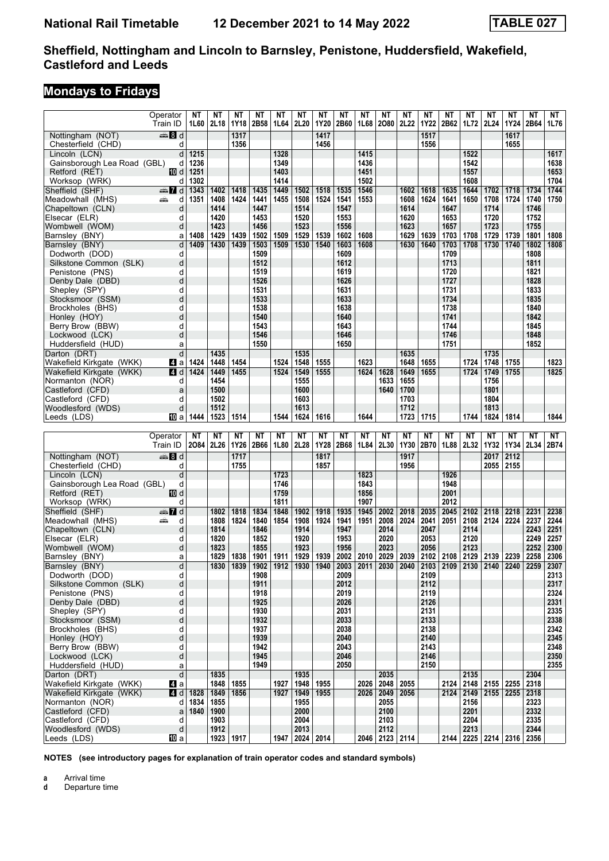# **Mondays to Fridays**

|                                       | Operator             | ΝT   | ΝT           | ΝT         | ΝT           | NΤ         | NΤ                | ΝT   | ΝT           | ΝT         | NΤ           | NΤ           | ΝT                        | NΤ           | NΤ           | ΝT                               | ΝT   | ΝT           | NΤ           |
|---------------------------------------|----------------------|------|--------------|------------|--------------|------------|-------------------|------|--------------|------------|--------------|--------------|---------------------------|--------------|--------------|----------------------------------|------|--------------|--------------|
|                                       | Train ID             | 1L60 | 2L18         | 1Y18       | 2B58         | 1L64       | 2L20              | 1Y20 | 2B60         | 1L68       | 2080         | 2L22         | <b>1Y22</b>               | 2B62         | 1L72         | 2L24                             | 1Y24 | 2B64         | 1L76         |
| Nottingham (NOT)                      | en 8 d               |      |              | 1317       |              |            |                   | 1417 |              |            |              |              | 1517                      |              |              |                                  | 1617 |              |              |
| Chesterfield (CHD)                    | d                    |      |              | 1356       |              |            |                   | 1456 |              |            |              |              | 1556                      |              |              |                                  | 1655 |              |              |
| Lincoln (LCN)                         | d                    | 1215 |              |            |              | 1328       |                   |      |              | 1415       |              |              |                           |              | 1522         |                                  |      |              | 1617         |
| Gainsborough Lea Road (GBL)           | d                    | 1236 |              |            |              | 1349       |                   |      |              | 1436       |              |              |                           |              | 1542         |                                  |      |              | 1638         |
| Retford (RET)                         | 10 d                 | 1251 |              |            |              | 1403       |                   |      |              | 1451       |              |              |                           |              | 1557         |                                  |      |              | 1653         |
| Worksop (WRK)                         | d                    | 1302 |              |            |              | 1414       |                   |      |              | 1502       |              |              |                           |              | 1608         |                                  |      |              | 1704         |
| Sheffield (SHF)                       | $\oplus$ 7 d         | 1343 | 1402         | 1418       | 1435         | 1449       | 1502              | 1518 | 1535         | 1546       |              | 1602         | 1618                      | 1635         | 1644         | 1702                             | 1718 | 1734         | 1744         |
| Meadowhall (MHS)                      | مناقبته<br>d         | 1351 | 1408         | 1424       | 1441         | 1455       | 1508              | 1524 | 1541         | 1553       |              | 1608         | 1624                      | 1641         | 1650         | 1708                             | 1724 | 1740         | 1750         |
| Chapeltown (CLN)                      | d                    |      | 1414         |            | 1447         |            | 1514              |      | 1547         |            |              | 1614         |                           | 1647         |              | 1714                             |      | 1746         |              |
| Elsecar (ELR)                         | d                    |      | 1420<br>1423 |            | 1453         |            | 1520<br>1523      |      | 1553         |            |              | 1620         |                           | 1653         |              | 1720                             |      | 1752         |              |
| Wombwell (WOM)<br>Barnsley (BNY)      | d<br>a               | 1408 | 1429         | 1439       | 1456<br>1502 | 1509       | 1529              | 1539 | 1556<br>1602 | 1608       |              | 1623<br>1629 | 1639                      | 1657<br>1703 | 1708         | 1723<br>1729                     | 1739 | 1755<br>1801 | 1808         |
| Barnsley (BNY)                        | d                    | 1409 | 1430         | 1439       | 1503         | 1509       | 1530              | 1540 | 1603         | 1608       |              | 1630         | 1640                      | 1703         | 1708         | 1730                             | 1740 | 1802         | 1808         |
| Dodworth (DOD)                        | d                    |      |              |            | 1509         |            |                   |      | 1609         |            |              |              |                           | 1709         |              |                                  |      | 1808         |              |
| Silkstone Common (SLK)                | d                    |      |              |            | 1512         |            |                   |      | 1612         |            |              |              |                           | 1713         |              |                                  |      | 1811         |              |
| Penistone (PNS)                       | d                    |      |              |            | 1519         |            |                   |      | 1619         |            |              |              |                           | 1720         |              |                                  |      | 1821         |              |
| Denby Dale (DBD)                      | d                    |      |              |            | 1526         |            |                   |      | 1626         |            |              |              |                           | 1727         |              |                                  |      | 1828         |              |
| Shepley (SPY)                         | d                    |      |              |            | 1531         |            |                   |      | 1631         |            |              |              |                           | 1731         |              |                                  |      | 1833         |              |
| Stocksmoor (SSM)                      | d                    |      |              |            | 1533         |            |                   |      | 1633         |            |              |              |                           | 1734         |              |                                  |      | 1835         |              |
| Brockholes (BHS)                      | d                    |      |              |            | 1538         |            |                   |      | 1638         |            |              |              |                           | 1738         |              |                                  |      | 1840         |              |
| Honley (HOY)                          | d                    |      |              |            | 1540         |            |                   |      | 1640         |            |              |              |                           | 1741         |              |                                  |      | 1842         |              |
| Berry Brow (BBW)                      | d                    |      |              |            | 1543         |            |                   |      | 1643         |            |              |              |                           | 1744         |              |                                  |      | 1845         |              |
| Lockwood (LCK)                        | d                    |      |              |            | 1546         |            |                   |      | 1646         |            |              |              |                           | 1746         |              |                                  |      | 1848         |              |
| Huddersfield (HUD)                    | a                    |      |              |            | 1550         |            |                   |      | 1650         |            |              |              |                           | 1751         |              |                                  |      | 1852         |              |
| Darton (DRT)                          | d                    |      | 1435         |            |              |            | 1535              |      |              |            |              | 1635         |                           |              |              | 1735                             |      |              |              |
| Wakefield Kirkgate (WKK)              | 41 a                 | 1424 | 1448         | 1454       |              | 1524       | 1548              | 1555 |              | 1623       |              | 1648         | 1655                      |              | 1724         | 1748                             | 1755 |              | 1823         |
| Wakefield Kirkgate (WKK)              | $\blacksquare$ d     | 1424 | 1449         | 1455       |              | 1524       | 1549              | 1555 |              | 1624       | 1628         | 1649         | 1655                      |              | 1724         | 1749                             | 1755 |              | 1825         |
| Normanton (NOR)                       | d                    |      | 1454         |            |              |            | 1555              |      |              |            | 1633         | 1655         |                           |              |              | 1756                             |      |              |              |
| Castleford (CFD)                      | a                    |      | 1500         |            |              |            | 1600              |      |              |            | 1640         | 1700         |                           |              |              | 1801                             |      |              |              |
| Castleford (CFD)<br>Woodlesford (WDS) | d<br>d               |      | 1502<br>1512 |            |              |            | 1603<br>1613      |      |              |            |              | 1703<br>1712 |                           |              |              | 1804<br>1813                     |      |              |              |
| Leeds (LDS)                           | 凹 a                  | 1444 | 1523         | 1514       |              | 1544       | 1624              | 1616 |              | 1644       |              | 1723         | 1715                      |              | 1744         | 1824                             | 1814 |              | 1844         |
|                                       |                      |      |              |            |              |            |                   |      |              |            |              |              |                           |              |              |                                  |      |              |              |
|                                       |                      |      |              |            |              |            |                   |      |              |            |              |              |                           |              |              |                                  |      |              |              |
|                                       |                      | NΤ   |              |            |              |            | NΤ                | NΤ   | <b>NT</b>    |            |              | ΝT           |                           |              |              |                                  | NΤ   | NΤ           |              |
|                                       | Operator<br>Train ID | 2084 | ΝT<br>2L26   | ΝT<br>1Y26 | ΝT<br>2B66   | NΤ<br>1L80 | 2L28              | 1Y28 | 2B68         | ΝT<br>1L84 | ΝT<br>2L30   | 1Y30         | ΝT<br>2B70                | ΝT<br>1L88   | ΝT<br>2L32   | ΝT<br>1Y32                       | 1Y34 | 2L34         | NT<br>2B74   |
|                                       |                      |      |              |            |              |            |                   |      |              |            |              |              |                           |              |              |                                  |      |              |              |
| Nottingham (NOT)                      | $\clubsuit 8$ d<br>d |      |              | 1717       |              |            |                   | 1817 |              |            |              | 1917         |                           |              |              | 2017                             | 2112 |              |              |
| Chesterfield (CHD)<br>Lincoln (LCN)   | d                    |      |              | 1755       |              | 1723       |                   | 1857 |              | 1823       |              | 1956         |                           | 1926         |              | 2055                             | 2155 |              |              |
| Gainsborough Lea Road (GBL)           | d                    |      |              |            |              | 1746       |                   |      |              | 1843       |              |              |                           | 1948         |              |                                  |      |              |              |
| Retford (RET)                         | 10 d                 |      |              |            |              | 1759       |                   |      |              | 1856       |              |              |                           | 2001         |              |                                  |      |              |              |
| Worksop (WRK)                         | d                    |      |              |            |              | 1811       |                   |      |              | 1907       |              |              |                           | 2012         |              |                                  |      |              |              |
| Sheffield (SHF)                       | $\frac{1}{2}$ d      |      | 1802         | 1818       | 1834         | 1848       | 1902              | 1918 | 1935         | 1945       | 2002         | 2018         | 2035                      | 2045         | 2102         | 2118                             | 2218 | 2231         | 2238         |
| Meadowhall (MHS)                      | پتنبه<br>d           |      | 1808         | 1824       | 1840         | 1854       | 1908              | 1924 | 1941         | 1951       | 2008         | 2024         | 2041                      | 2051         | 2108         | 2124                             | 2224 | 2237         | 2244         |
| Chapeltown (CLN)                      | d                    |      | 1814         |            | 1846         |            | 1914              |      | 1947         |            | 2014         |              | 2047                      |              | 2114         |                                  |      | 2243         | 2251         |
| Elsecar (ELR)                         | d                    |      | 1820         |            | 1852         |            | 1920              |      | 1953         |            | 2020         |              | 2053                      |              | 2120         |                                  |      | 2249         | 2257         |
| Wombwell (WOM)                        | d                    |      | 1823         |            | 1855         |            | 1923              |      | 1956         |            | 2023         |              | 2056                      |              | 2123         |                                  |      | 2252         | 2300         |
| Barnsley (BNY)                        | а                    |      | 1829         | 1838       | 1901         | 1911       | 1929              | 1939 |              | 2002 2010  | 2029         | 2039         | 2102 2108                 |              | 2129         | 2139                             | 2239 | 2258         | 2306         |
| Barnsley (BNY)                        | d                    |      | 1830         |            | 1839   1902  | 1912       | 1930              | 1940 | 2003         |            | $2011$ 2030  |              | 2040   2103   2109   2130 |              |              | 2140                             | 2240 | 2259         | 2307         |
| Dodworth (DOD)                        | d                    |      |              |            | 1908         |            |                   |      | 2009         |            |              |              | 2109                      |              |              |                                  |      |              | 2313         |
| Silkstone Common (SLK)                | d                    |      |              |            | 1911         |            |                   |      | 2012         |            |              |              | 2112                      |              |              |                                  |      |              | 2317         |
| Penistone (PNS)                       | d<br>d               |      |              |            | 1918         |            |                   |      | 2019         |            |              |              | 2119                      |              |              |                                  |      |              | 2324         |
| Denby Dale (DBD)<br>Shepley (SPY)     | d                    |      |              |            | 1925<br>1930 |            |                   |      | 2026<br>2031 |            |              |              | 2126<br>2131              |              |              |                                  |      |              | 2331<br>2335 |
| Stocksmoor (SSM)                      | d                    |      |              |            | 1932         |            |                   |      | 2033         |            |              |              | 2133                      |              |              |                                  |      |              | 2338         |
| Brockholes (BHS)                      | d                    |      |              |            | 1937         |            |                   |      | 2038         |            |              |              | 2138                      |              |              |                                  |      |              | 2342         |
| Honley (HOY)                          | d                    |      |              |            | 1939         |            |                   |      | 2040         |            |              |              | 2140                      |              |              |                                  |      |              | 2345         |
| Berry Brow (BBW)                      | d                    |      |              |            | 1942         |            |                   |      | 2043         |            |              |              | 2143                      |              |              |                                  |      |              | 2348         |
| Lockwood (LCK)                        | d                    |      |              |            | 1945         |            |                   |      | 2046         |            |              |              | 2146                      |              |              |                                  |      |              | 2350         |
| Huddersfield (HUD)                    | a                    |      |              |            | 1949         |            |                   |      | 2050         |            |              |              | 2150                      |              |              |                                  |      |              | 2355         |
| Darton (DRT)                          | d                    |      | 1835         |            |              |            | 1935              |      |              |            | 2035         |              |                           |              | 2135         |                                  |      | 2304         |              |
| Wakefield Kirkgate (WKK)              | 41 a                 |      | 1848         | 1855       |              | 1927       | 1948              | 1955 |              | 2026       | 2048         | 2055         |                           |              |              | 2124   2148   2155   2255   2318 |      |              |              |
| Wakefield Kirkgate (WKK)              | 4d                   | 1828 | 1849         | 1856       |              | 1927       | 1949              | 1955 |              | 2026       | 2049         | 2056         |                           |              |              | 2124 2149 2155                   | 2255 | 2318         |              |
| Normanton (NOR)                       | d                    | 1834 | 1855         |            |              |            | 1955              |      |              |            | 2055         |              |                           |              | 2156         |                                  |      | 2323         |              |
| Castleford (CFD)                      | a<br>d               | 1840 | 1900<br>1903 |            |              |            | 2000<br>2004      |      |              |            | 2100         |              |                           |              | 2201<br>2204 |                                  |      | 2332<br>2335 |              |
| Castleford (CFD)<br>Woodlesford (WDS) | d                    |      | 1912         | 1923 1917  |              |            | 2013<br>2024 2014 |      |              |            | 2103<br>2112 |              |                           |              | 2213         | 2144   2225   2214   2316   2356 |      | 2344         |              |

**NOTES (see introductory pages for explanation of train operator codes and standard symbols)**

**a** Arrival time<br>**d** Departure t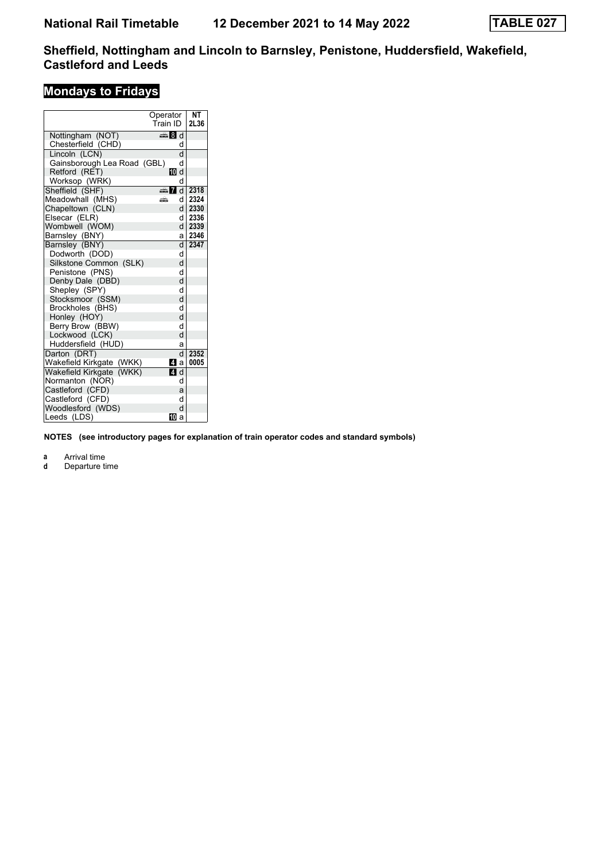# **Mondays to Fridays**

|                             | Operator     | NΤ   |
|-----------------------------|--------------|------|
|                             | Train ID     | 2L36 |
| Nottingham (NOT)            | ্ষী d        |      |
| Chesterfield (CHD)          | d            |      |
| Lincoln (LCN)               | d            |      |
| Gainsborough Lea Road (GBL) | d            |      |
| Retford (RET)               | 10 d         |      |
| Worksop (WRK)               | d            |      |
| Sheffield (SHF)             | d Ma         | 2318 |
| Meadowhall (MHS)            | dl<br>æ      | 2324 |
| Chapeltown (CLN)            | d l          | 2330 |
| Elsecar (ELR)               | dl           | 2336 |
| Wombwell (WOM)              | d l          | 2339 |
| Barnsley (BNY)              | a۱           | 2346 |
| Barnsley (BNY)              | $\mathsf{d}$ | 2347 |
| Dodworth (DOD)              | q            |      |
| Silkstone Common (SLK)      | d            |      |
| Penistone (PNS)             | d            |      |
| Denby Dale (DBD)            | d            |      |
| Shepley (SPY)               | d            |      |
| Stocksmoor (SSM)            | d            |      |
| Brockholes (BHS)            | d            |      |
| Honley (HOY)                | d            |      |
| Berry Brow (BBW)            | d            |      |
| Lockwood (LCK)              | d            |      |
| Huddersfield (HUD)          | a            |      |
| Darton (DRT)                | d            | 2352 |
| Wakefield Kirkgate (WKK)    | Иa           | 0005 |
| Wakefield Kirkgate (WKK)    | ZI d         |      |
| Normanton (NOR)             | d            |      |
| Castleford (CFD)            | a            |      |
| Castleford (CFD)            | d            |      |
| Woodlesford (WDS)           | d            |      |
| Leeds (LDS)                 | 10<br>a      |      |

**NOTES (see introductory pages for explanation of train operator codes and standard symbols)**

**a** Arrival time<br>**d** Departure time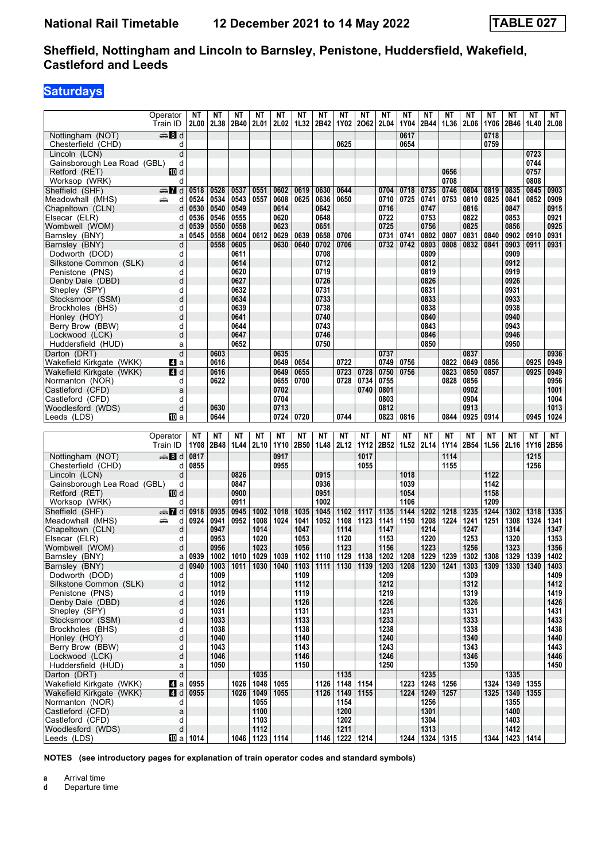# **Saturdays**

|                                  | Operator | ΝT               | ΝT   | ΝT   | NΤ                     | ΝT          | NΤ   | ΝT                        | NΤ                         | <b>NT</b>   | ΝT   | ΝT          | ΝT                | ΝT          | NΤ   | <b>NT</b> | NΤ                                                                    | <b>NT</b> | NΤ   |
|----------------------------------|----------|------------------|------|------|------------------------|-------------|------|---------------------------|----------------------------|-------------|------|-------------|-------------------|-------------|------|-----------|-----------------------------------------------------------------------|-----------|------|
|                                  | Train ID | 2L00             | 2L38 | 2B40 | 2L01                   | 2L02        | 1L32 | 2B42                      | 1Y02                       | 2062        | 2L04 | 1Y04        | 2B44              | 1L36        | 2L06 | 1Y06      | 2B46                                                                  | 1L40      | 2L08 |
| Nottingham (NOT)                 | ্ষী d    |                  |      |      |                        |             |      |                           |                            |             |      | 0617        |                   |             |      | 0718      |                                                                       |           |      |
|                                  |          |                  |      |      |                        |             |      |                           | 0625                       |             |      | 0654        |                   |             |      | 0759      |                                                                       |           |      |
| Chesterfield (CHD)               | d        |                  |      |      |                        |             |      |                           |                            |             |      |             |                   |             |      |           |                                                                       |           |      |
| Lincoln (LCN)                    | d        |                  |      |      |                        |             |      |                           |                            |             |      |             |                   |             |      |           |                                                                       | 0723      |      |
| Gainsborough Lea Road (GBL)      | d        |                  |      |      |                        |             |      |                           |                            |             |      |             |                   |             |      |           |                                                                       | 0744      |      |
| Retford (RET)                    | 10 d     |                  |      |      |                        |             |      |                           |                            |             |      |             |                   | 0656        |      |           |                                                                       | 0757      |      |
| Worksop (WRK)                    | d        |                  |      |      |                        |             |      |                           |                            |             |      |             |                   | 0708        |      |           |                                                                       | 0808      |      |
| Sheffield (SHF)                  | dan 7d   | 0518             | 0528 | 0537 | 0551                   | 0602        | 0619 | 0630                      | 0644                       |             | 0704 | 0718        | 0735              | 0746        | 0804 | 0819      | 0835                                                                  | 0845      | 0903 |
| Meadowhall (MHS)                 | پیش<br>d | 0524             | 0534 | 0543 | 0557                   | 0608        | 0625 | 0636                      | 0650                       |             | 0710 | 0725        | 0741              | 0753        | 0810 | 0825      | 0841                                                                  | 0852      | 0909 |
| Chapeltown (CLN)                 | d        | 0530             | 0540 | 0549 |                        | 0614        |      | 0642                      |                            |             | 0716 |             | 0747              |             | 0816 |           | 0847                                                                  |           | 0915 |
| Elsecar (ELR)                    | d        | 0536             | 0546 | 0555 |                        | 0620        |      | 0648                      |                            |             | 0722 |             | 0753              |             | 0822 |           | 0853                                                                  |           | 0921 |
| Wombwell (WOM)                   | d        | 0539             | 0550 | 0558 |                        | 0623        |      | 0651                      |                            |             | 0725 |             | 0756              |             | 0825 |           | 0856                                                                  |           | 0925 |
| Barnsley (BNY)                   | a        | 0545             | 0558 | 0604 | 0612                   | 0629        | 0639 | 0658                      | 0706                       |             | 0731 | 0741        | 0802              | 0807        | 0831 | 0840      | 0902                                                                  | 0910      | 0931 |
| Barnsley (BNY)                   | d        |                  | 0558 | 0605 |                        | 0630        | 0640 | 0702                      | 0706                       |             | 0732 | 0742        | 0803              | 0808        | 0832 | 0841      | 0903                                                                  | 0911      | 0931 |
| Dodworth (DOD)                   | d        |                  |      | 0611 |                        |             |      | 0708                      |                            |             |      |             | 0809              |             |      |           | 0909                                                                  |           |      |
| Silkstone Common (SLK)           | d        |                  |      | 0614 |                        |             |      | 0712                      |                            |             |      |             | 0812              |             |      |           | 0912                                                                  |           |      |
| Penistone (PNS)                  | d        |                  |      | 0620 |                        |             |      | 0719                      |                            |             |      |             | 0819              |             |      |           | 0919                                                                  |           |      |
|                                  | d        |                  |      | 0627 |                        |             |      | 0726                      |                            |             |      |             | 0826              |             |      |           | 0926                                                                  |           |      |
| Denby Dale (DBD)                 |          |                  |      |      |                        |             |      |                           |                            |             |      |             | 0831              |             |      |           | 0931                                                                  |           |      |
| Shepley (SPY)                    | d        |                  |      | 0632 |                        |             |      | 0731                      |                            |             |      |             |                   |             |      |           |                                                                       |           |      |
| Stocksmoor (SSM)                 | d        |                  |      | 0634 |                        |             |      | 0733                      |                            |             |      |             | 0833              |             |      |           | 0933                                                                  |           |      |
| Brockholes (BHS)                 | d        |                  |      | 0639 |                        |             |      | 0738                      |                            |             |      |             | 0838              |             |      |           | 0938                                                                  |           |      |
| Honley (HOY)                     | d        |                  |      | 0641 |                        |             |      | 0740                      |                            |             |      |             | 0840              |             |      |           | 0940                                                                  |           |      |
| Berry Brow (BBW)                 | d        |                  |      | 0644 |                        |             |      | 0743                      |                            |             |      |             | 0843              |             |      |           | 0943                                                                  |           |      |
| Lockwood (LCK)                   | d        |                  |      | 0647 |                        |             |      | 0746                      |                            |             |      |             | 0846              |             |      |           | 0946                                                                  |           |      |
| Huddersfield (HUD)               | a        |                  |      | 0652 |                        |             |      | 0750                      |                            |             |      |             | 0850              |             |      |           | 0950                                                                  |           |      |
| Darton (DRT)                     | d        |                  | 0603 |      |                        | 0635        |      |                           |                            |             | 0737 |             |                   |             | 0837 |           |                                                                       |           | 0936 |
| Wakefield Kirkgate (WKK)         | Z1 a     |                  | 0616 |      |                        | 0649        | 0654 |                           | 0722                       |             | 0749 | 0756        |                   | 0822        | 0849 | 0856      |                                                                       | 0925      | 0949 |
| Wakefield Kirkgate (WKK)         | 4 d      |                  | 0616 |      |                        | 0649        | 0655 |                           | 0723                       | 0728        | 0750 | 0756        |                   | 0823        | 0850 | 0857      |                                                                       | 0925      | 0949 |
| Normanton (NOR)                  | d        |                  | 0622 |      |                        | 0655        | 0700 |                           | 0728                       | 0734        | 0755 |             |                   | 0828        | 0856 |           |                                                                       |           | 0956 |
| Castleford (CFD)                 | a        |                  |      |      |                        | 0702        |      |                           |                            | 0740        | 0801 |             |                   |             | 0902 |           |                                                                       |           | 1001 |
|                                  |          |                  |      |      |                        | 0704        |      |                           |                            |             | 0803 |             |                   |             | 0904 |           |                                                                       |           | 1004 |
| Castleford (CFD)                 | d        |                  |      |      |                        |             |      |                           |                            |             |      |             |                   |             |      |           |                                                                       |           |      |
| Woodlesford (WDS)                | d        |                  | 0630 |      |                        | 0713        |      |                           |                            |             | 0812 |             |                   |             | 0913 |           |                                                                       |           | 1013 |
| Leeds (LDS)                      | III a    |                  | 0644 |      |                        | 0724        | 0720 |                           | 0744                       |             | 0823 | 0816        |                   | 0844        | 0925 | 0914      |                                                                       | 0945      | 1024 |
|                                  |          |                  |      |      |                        |             |      |                           |                            |             |      |             |                   |             |      |           |                                                                       |           |      |
|                                  |          |                  |      |      |                        |             |      |                           |                            |             |      |             |                   |             |      |           |                                                                       |           |      |
|                                  | Operator | NΤ               | NΤ   | NΤ   | NΤ                     | <b>NT</b>   | NΤ   | NΤ                        | NΤ                         | <b>NT</b>   | NΤ   | NΤ          | NΤ                | NΤ          | ΝT   | NΤ        | NΤ                                                                    | NΤ        | NT   |
|                                  | Train ID | 1Y08             | 2B48 | 1L44 | 2L10                   | <b>1Y10</b> | 2B50 | 1L48                      | 2L12                       | <b>1Y12</b> | 2B52 | 1L52 2L14   |                   | 1Y14        | 2B54 | 1L56      | 2L16                                                                  | 1Y16      | 2B56 |
| Nottingham (NOT)                 | ্ষী d    | 0817             |      |      |                        | 0917        |      |                           |                            | 1017        |      |             |                   | 1114        |      |           |                                                                       | 1215      |      |
|                                  | d        | 0855             |      |      |                        | 0955        |      |                           |                            | 1055        |      |             |                   | 1155        |      |           |                                                                       | 1256      |      |
| Chesterfield (CHD)               |          |                  |      |      |                        |             |      |                           |                            |             |      |             |                   |             |      |           |                                                                       |           |      |
| Lincoln (LCN)                    | d        |                  |      | 0826 |                        |             |      | 0915                      |                            |             |      | 1018        |                   |             |      | 1122      |                                                                       |           |      |
| Gainsborough Lea Road (GBL)      | d        |                  |      | 0847 |                        |             |      | 0936                      |                            |             |      | 1039        |                   |             |      | 1142      |                                                                       |           |      |
| Retford (RET)                    | 10 d     |                  |      | 0900 |                        |             |      | 0951                      |                            |             |      | 1054        |                   |             |      | 1158      |                                                                       |           |      |
| Worksop (WRK)                    | d        |                  |      | 0911 |                        |             |      | 1002                      |                            |             |      | 1106        |                   |             |      | 1209      |                                                                       |           |      |
| Sheffield (SHF)                  | dan 7d   | 0918             | 0935 | 0945 | 1002                   | 1018        | 1035 | 1045                      | 1102                       | 1117        | 1135 | 1144        | 1202              | 1218        | 1235 | 1244      | 1302                                                                  | 1318      | 1335 |
| Meadowhall (MHS)                 | æ<br>d   | 0924             | 0941 | 0952 | 1008                   | 1024        | 1041 | 1052                      | 1108                       | 1123        | 1141 | 1150        | 1208              | 1224        | 1241 | 1251      | 1308                                                                  | 1324      | 1341 |
| Chapeltown (CLN)                 | d        |                  | 0947 |      | 1014                   |             | 1047 |                           | 1114                       |             | 1147 |             | 1214              |             | 1247 |           | 1314                                                                  |           | 1347 |
| Elsecar (ELR)                    | d        |                  | 0953 |      | 1020                   |             | 1053 |                           | 1120                       |             | 1153 |             | 1220              |             | 1253 |           | 1320                                                                  |           | 1353 |
| Wombwell (WOM)                   | d        |                  | 0956 |      | 1023                   |             | 1056 |                           | 1123                       |             | 1156 |             | 1223              |             | 1256 |           | 1323                                                                  |           | 1356 |
| Barnsley (BNY)                   | a        | 0939             | 1002 | 1010 | 1029                   | 1039        |      | 1102   1110   1129   1138 |                            |             |      | 1202   1208 |                   | 1229   1239 | 1302 | 1308      | 1329                                                                  | 1339      | 1402 |
| Barnsley (BNY)                   | d        | 0940             | 1003 |      |                        |             |      |                           |                            |             |      |             |                   |             |      |           | 1011 1030 1040 1103 1111 1130 1139 1203 1208 1230 1241 1303 1309 1330 | 1340      | 1403 |
| Dodworth (DOD)                   | d        |                  | 1009 |      |                        |             | 1109 |                           |                            |             | 1209 |             |                   |             | 1309 |           |                                                                       |           | 1409 |
| Silkstone Common (SLK)           | d        |                  | 1012 |      |                        |             | 1112 |                           |                            |             | 1212 |             |                   |             | 1312 |           |                                                                       |           | 1412 |
| Penistone (PNS)                  | d        |                  | 1019 |      |                        |             | 1119 |                           |                            |             | 1219 |             |                   |             | 1319 |           |                                                                       |           | 1419 |
|                                  | d        |                  | 1026 |      |                        |             |      |                           |                            |             |      |             |                   |             |      |           |                                                                       |           |      |
| Denby Dale (DBD)                 |          |                  |      |      |                        |             | 1126 |                           |                            |             | 1226 |             |                   |             | 1326 |           |                                                                       |           | 1426 |
| Shepley (SPY)                    | d        |                  | 1031 |      |                        |             | 1131 |                           |                            |             | 1231 |             |                   |             | 1331 |           |                                                                       |           | 1431 |
| Stocksmoor (SSM)                 | d        |                  | 1033 |      |                        |             | 1133 |                           |                            |             | 1233 |             |                   |             | 1333 |           |                                                                       |           | 1433 |
| Brockholes (BHS)                 | d        |                  | 1038 |      |                        |             | 1138 |                           |                            |             | 1238 |             |                   |             | 1338 |           |                                                                       |           | 1438 |
| Honley (HOY)                     | d        |                  | 1040 |      |                        |             | 1140 |                           |                            |             | 1240 |             |                   |             | 1340 |           |                                                                       |           | 1440 |
| Berry Brow (BBW)                 | d        |                  | 1043 |      |                        |             | 1143 |                           |                            |             | 1243 |             |                   |             | 1343 |           |                                                                       |           | 1443 |
| Lockwood (LCK)                   | d        |                  | 1046 |      |                        |             | 1146 |                           |                            |             | 1246 |             |                   |             | 1346 |           |                                                                       |           | 1446 |
| Huddersfield (HUD)               | a        |                  | 1050 |      |                        |             | 1150 |                           |                            |             | 1250 |             |                   |             | 1350 |           |                                                                       |           | 1450 |
| Darton (DRT)                     | d        |                  |      |      | 1035                   |             |      |                           | 1135                       |             |      |             | 1235              |             |      |           | 1335                                                                  |           |      |
| Wakefield Kirkgate (WKK)         | Zl a ∣   | 0955             |      | 1026 | 1048                   | 1055        |      |                           | 1126 1148 1154             |             |      | 1223        | 1248              | 1256        |      | 1324      | 1349                                                                  | 1355      |      |
| Wakefield Kirkgate (WKK)         | 4 d      | 0955             |      | 1026 | 1049                   | 1055        |      | 1126                      | 1149   1155                |             |      | 1224        | 1249   1257       |             |      | 1325      | 1349                                                                  | 1355      |      |
| Normanton (NOR)                  | d        |                  |      |      | 1055                   |             |      |                           | 1154                       |             |      |             | 1256              |             |      |           | 1355                                                                  |           |      |
| Castleford (CFD)                 | a        |                  |      |      | 1100                   |             |      |                           | 1200                       |             |      |             | 1301              |             |      |           | 1400                                                                  |           |      |
| Castleford (CFD)                 | d        |                  |      |      | 1103                   |             |      |                           | 1202                       |             |      |             | 1304              |             |      |           | 1403                                                                  |           |      |
| Woodlesford (WDS)<br>Leeds (LDS) | d        | <b>10</b> a 1014 |      |      | 1112<br>1046 1123 1114 |             |      |                           | 1211<br>1146   1222   1214 |             |      | 1244        | 1313<br>1324 1315 |             |      | 1344      | 1412<br>1423                                                          | 1414      |      |

**NOTES (see introductory pages for explanation of train operator codes and standard symbols)**

**a** Arrival time<br>**d** Departure t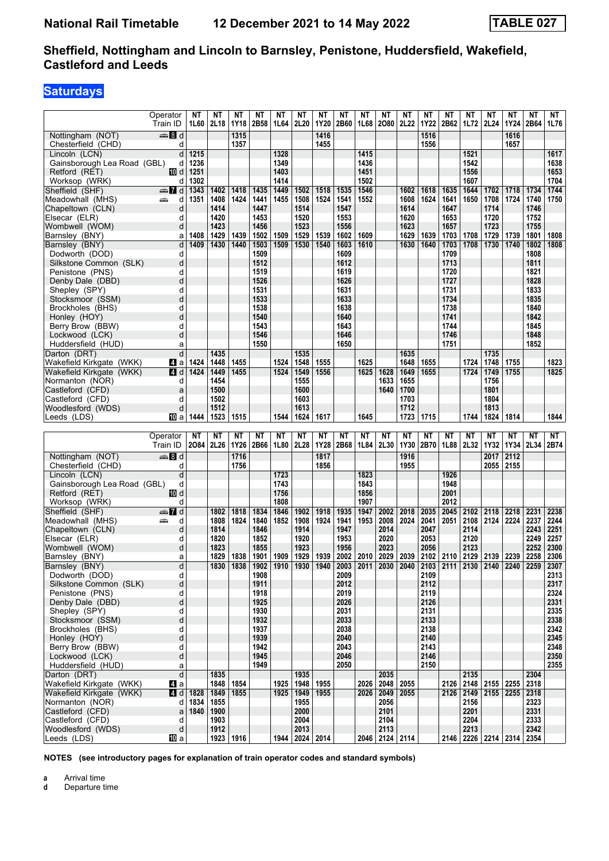## **Saturdays**

|                                           | Operator                        | ΝT   | <b>NT</b>     | <b>NT</b> | <b>NT</b>    | <b>NT</b> | <b>NT</b>         | NΤ   | <b>NT</b>    | <b>NT</b>   | <b>NT</b>              | NT        | ΝT           | <b>NT</b>    | <b>NT</b>                                | <b>NT</b> | <b>NT</b> | <b>NT</b>                                                             | <b>NT</b>    |
|-------------------------------------------|---------------------------------|------|---------------|-----------|--------------|-----------|-------------------|------|--------------|-------------|------------------------|-----------|--------------|--------------|------------------------------------------|-----------|-----------|-----------------------------------------------------------------------|--------------|
|                                           | Train ID                        |      | $1L60$   2L18 | 1Y18      | 2B58         | 1L64      | 2L20              | 1Y20 | 2B60         | 1L68        | 2080                   | 2L22      | <b>1Y22</b>  | 2B62         | 1L72                                     | 2L24      | 1Y24      | 2B64                                                                  | 1L76         |
| Nottingham (NOT)                          | en 8 d                          |      |               | 1315      |              |           |                   | 1416 |              |             |                        |           | 1516         |              |                                          |           | 1616      |                                                                       |              |
| Chesterfield (CHD)                        | d                               |      |               | 1357      |              |           |                   | 1455 |              |             |                        |           | 1556         |              |                                          |           | 1657      |                                                                       |              |
| Lincoln (LCN)                             | d                               | 1215 |               |           |              | 1328      |                   |      |              | 1415        |                        |           |              |              | 1521                                     |           |           |                                                                       | 1617         |
| Gainsborough Lea Road (GBL)               | d                               | 1236 |               |           |              | 1349      |                   |      |              | 1436        |                        |           |              |              | 1542                                     |           |           |                                                                       | 1638         |
| Retford (RET)                             | 10 d                            | 1251 |               |           |              | 1403      |                   |      |              | 1451        |                        |           |              |              | 1556                                     |           |           |                                                                       | 1653         |
| Worksop (WRK)                             | d                               | 1302 |               |           |              | 1414      |                   |      |              | 1502        |                        |           |              |              | 1607                                     |           |           |                                                                       | 1704         |
| Sheffield (SHF)                           | $\mathbb{Z}$ d                  | 1343 | 1402          | 1418      | 1435         | 1449      | 1502              | 1518 | 1535         | 1546        |                        | 1602      | 1618         | 1635         | 1644                                     | 1702      | 1718      | 1734                                                                  | 1744         |
| Meadowhall (MHS)                          | æ.<br>d                         | 1351 | 1408          | 1424      | 1441         | 1455      | 1508              | 1524 | 1541         | 1552        |                        | 1608      | 1624         | 1641         | 1650                                     | 1708      | 1724      | 1740                                                                  | 1750         |
| Chapeltown (CLN)                          | d                               |      | 1414          |           | 1447         |           | 1514              |      | 1547         |             |                        | 1614      |              | 1647         |                                          | 1714      |           | 1746                                                                  |              |
| Elsecar (ELR)                             | d                               |      | 1420          |           | 1453         |           | 1520              |      | 1553         |             |                        | 1620      |              | 1653         |                                          | 1720      |           | 1752                                                                  |              |
| Wombwell (WOM)                            | d                               |      | 1423          |           | 1456         |           | 1523              |      | 1556         |             |                        | 1623      |              | 1657         |                                          | 1723      |           | 1755                                                                  |              |
| Barnsley (BNY)                            | a                               | 1408 | 1429          | 1439      | 1502         | 1509      | 1529              | 1539 | 1602         | 1609        |                        | 1629      | 1639         | 1703         | 1708                                     | 1729      | 1739      | 1801                                                                  | 1808         |
| Barnsley (BNY)                            | d                               | 1409 | 1430          | 1440      | 1503         | 1509      | 1530              | 1540 | 1603         | 1610        |                        | 1630      | 1640         | 1703         | 1708                                     | 1730      | 1740      | 1802                                                                  | 1808         |
| Dodworth (DOD)                            | d                               |      |               |           | 1509<br>1512 |           |                   |      | 1609<br>1612 |             |                        |           |              | 1709<br>1713 |                                          |           |           | 1808<br>1811                                                          |              |
| Silkstone Common (SLK)<br>Penistone (PNS) | d<br>d                          |      |               |           | 1519         |           |                   |      | 1619         |             |                        |           |              | 1720         |                                          |           |           | 1821                                                                  |              |
| Denby Dale (DBD)                          | d                               |      |               |           | 1526         |           |                   |      | 1626         |             |                        |           |              | 1727         |                                          |           |           | 1828                                                                  |              |
| Shepley (SPY)                             | d                               |      |               |           | 1531         |           |                   |      | 1631         |             |                        |           |              | 1731         |                                          |           |           | 1833                                                                  |              |
| Stocksmoor (SSM)                          | d                               |      |               |           | 1533         |           |                   |      | 1633         |             |                        |           |              | 1734         |                                          |           |           | 1835                                                                  |              |
| Brockholes (BHS)                          | d                               |      |               |           | 1538         |           |                   |      | 1638         |             |                        |           |              | 1738         |                                          |           |           | 1840                                                                  |              |
| Honley (HOY)                              | d                               |      |               |           | 1540         |           |                   |      | 1640         |             |                        |           |              | 1741         |                                          |           |           | 1842                                                                  |              |
| Berry Brow (BBW)                          | d                               |      |               |           | 1543         |           |                   |      | 1643         |             |                        |           |              | 1744         |                                          |           |           | 1845                                                                  |              |
| Lockwood (LCK)                            | d                               |      |               |           | 1546         |           |                   |      | 1646         |             |                        |           |              | 1746         |                                          |           |           | 1848                                                                  |              |
| Huddersfield (HUD)                        | a                               |      |               |           | 1550         |           |                   |      | 1650         |             |                        |           |              | 1751         |                                          |           |           | 1852                                                                  |              |
| Darton (DRT)                              | d                               |      | 1435          |           |              |           | 1535              |      |              |             |                        | 1635      |              |              |                                          | 1735      |           |                                                                       |              |
| Wakefield Kirkgate (WKK)                  | 41 a                            | 1424 | 1448          | 1455      |              | 1524      | 1548              | 1555 |              | 1625        |                        | 1648      | 1655         |              | 1724                                     | 1748      | 1755      |                                                                       | 1823         |
| Wakefield Kirkgate (WKK)                  | 4 d                             | 1424 | 1449          | 1455      |              | 1524      | 1549              | 1556 |              | 1625        | 1628                   | 1649      | 1655         |              | 1724                                     | 1749      | 1755      |                                                                       | 1825         |
| Normanton (NOR)                           | d                               |      | 1454          |           |              |           | 1555              |      |              |             | 1633                   | 1655      |              |              |                                          | 1756      |           |                                                                       |              |
| Castleford (CFD)                          | a                               |      | 1500          |           |              |           | 1600              |      |              |             | 1640                   | 1700      |              |              |                                          | 1801      |           |                                                                       |              |
| Castleford (CFD)                          | d                               |      | 1502          |           |              |           | 1603              |      |              |             |                        | 1703      |              |              |                                          | 1804      |           |                                                                       |              |
| Woodlesford (WDS)                         | d                               |      | 1512          |           |              |           | 1613              |      |              |             |                        | 1712      |              |              |                                          | 1813      |           |                                                                       |              |
| Leeds (LDS)                               | 凹 a                             | 1444 | 1523          | 1515      |              | 1544      | 1624              | 1617 |              | 1645        |                        | 1723      | 1715         |              | 1744                                     | 1824      | 1814      |                                                                       | 1844         |
|                                           |                                 |      |               |           |              |           |                   |      |              |             |                        |           |              |              |                                          |           |           |                                                                       |              |
|                                           |                                 |      |               |           |              |           |                   |      |              |             |                        |           |              |              |                                          |           |           |                                                                       |              |
|                                           | Operator                        | ΝT   | ΝT            | NΤ        | NΤ           | NΤ        | ΝT                | NΤ   | NΤ           | NΤ          | NΤ                     | <b>NT</b> | NΤ           | NΤ           | NΤ                                       | ΝT        | ΝT        | <b>NT</b>                                                             | NT           |
|                                           | Train ID                        | 2084 | 2L26          | 1Y26      | 2B66         | 1L80      | 2L28              | 1Y28 | 2B68         | 1L84        | 2L30                   | 1Y30      | 2B70         | 1L88         | 2L32                                     | 1Y32      | 1Y34      | 2L34                                                                  | 2B74         |
| Nottingham (NOT)                          | $\blacksquare$ $\blacksquare$ d |      |               | 1716      |              |           |                   | 1817 |              |             |                        | 1916      |              |              |                                          | 2017      | 2112      |                                                                       |              |
| Chesterfield (CHD)                        | d                               |      |               | 1756      |              |           |                   | 1856 |              |             |                        | 1955      |              |              |                                          | 2055      | 2155      |                                                                       |              |
| Lincoln (LCN)                             | d                               |      |               |           |              | 1723      |                   |      |              | 1823        |                        |           |              | 1926         |                                          |           |           |                                                                       |              |
| Gainsborough Lea Road (GBL)               | d                               |      |               |           |              | 1743      |                   |      |              | 1843        |                        |           |              | 1948         |                                          |           |           |                                                                       |              |
| Retford (RET)                             | 10 d                            |      |               |           |              | 1756      |                   |      |              | 1856        |                        |           |              | 2001         |                                          |           |           |                                                                       |              |
| Worksop (WRK)                             | d                               |      |               |           |              | 1808      |                   |      |              | 1907        |                        |           |              | 2012         |                                          |           |           |                                                                       |              |
| Sheffield (SHF)                           | $\frac{1}{2}$ d                 |      | 1802          | 1818      | 1834         | 1846      | 1902              | 1918 | 1935         | 1947        | 2002                   | 2018      | 2035         | 2045         | 2102                                     | 2118      | 2218      | 2231                                                                  | 2238         |
| Meadowhall (MHS)                          | d<br>يتنبه                      |      | 1808<br>1814  | 1824      | 1840<br>1846 | 1852      | 1908<br>1914      | 1924 | 1941<br>1947 | 1953        | 2008                   | 2024      | 2041         | 2051         | 2108                                     | 2124      | 2224      | 2237<br>2243                                                          | 2244         |
| Chapeltown (CLN)                          | d<br>d                          |      | 1820          |           | 1852         |           | 1920              |      | 1953         |             | 2014<br>2020           |           | 2047<br>2053 |              | 2114<br>2120                             |           |           | 2249                                                                  | 2251<br>2257 |
| Elsecar (ELR)<br>Wombwell (WOM)           | d                               |      | 1823          |           | 1855         |           | 1923              |      | 1956         |             | 2023                   |           | 2056         |              | 2123                                     |           |           | 2252                                                                  | 2300         |
| Barnsley (BNY)                            | a                               |      | 1829          | 1838      | 1901         | 1909      | 1929              | 1939 |              | 2002   2010 | 2029                   | 2039      |              |              | 2102 2110 2129 2139 2239                 |           |           | 2258                                                                  | 2306         |
| Barnsley (BNY)                            | d.                              |      | 1830          |           | 1838 1902    |           |                   |      |              |             |                        |           |              |              |                                          |           |           | 1910 1930 1940 2003 2011 2030 2040 2103 2111 2130 2140 2240 2259 2307 |              |
| Dodworth (DOD)                            | d                               |      |               |           | 1908         |           |                   |      | 2009         |             |                        |           | 2109         |              |                                          |           |           |                                                                       | 2313         |
| Silkstone Common (SLK)                    | d                               |      |               |           | 1911         |           |                   |      | 2012         |             |                        |           | 2112         |              |                                          |           |           |                                                                       | 2317         |
| Penistone (PNS)                           | d                               |      |               |           | 1918         |           |                   |      | 2019         |             |                        |           | 2119         |              |                                          |           |           |                                                                       | 2324         |
| Denby Dale (DBD)                          | d                               |      |               |           | 1925         |           |                   |      | 2026         |             |                        |           | 2126         |              |                                          |           |           |                                                                       | 2331         |
| Shepley (SPY)                             | d                               |      |               |           | 1930         |           |                   |      | 2031         |             |                        |           | 2131         |              |                                          |           |           |                                                                       | 2335         |
| Stocksmoor (SSM)                          | d                               |      |               |           | 1932         |           |                   |      | 2033         |             |                        |           | 2133         |              |                                          |           |           |                                                                       | 2338         |
| Brockholes (BHS)                          | d                               |      |               |           | 1937         |           |                   |      | 2038         |             |                        |           | 2138         |              |                                          |           |           |                                                                       | 2342         |
| Honley (HOY)                              | d                               |      |               |           | 1939         |           |                   |      | 2040         |             |                        |           | 2140         |              |                                          |           |           |                                                                       | 2345         |
| Berry Brow (BBW)                          | d<br>d                          |      |               |           | 1942         |           |                   |      | 2043         |             |                        |           | 2143         |              |                                          |           |           |                                                                       | 2348         |
| Lockwood (LCK)                            |                                 |      |               |           | 1945<br>1949 |           |                   |      | 2046<br>2050 |             |                        |           | 2146         |              |                                          |           |           |                                                                       | 2350         |
| Huddersfield (HUD)                        | a<br>d                          |      |               |           |              |           |                   |      |              |             |                        |           | 2150         |              |                                          |           |           | 2304                                                                  | 2355         |
| Darton (DRT)<br>Wakefield Kirkgate (WKK)  | $\mathbf{A}$ a                  |      | 1835<br>1848  | 1854      |              | 1925      | 1935<br>1948      | 1955 |              | 2026        | 2035<br>2048           | 2055      |              |              | 2135                                     |           |           | 2318                                                                  |              |
| Wakefield Kirkgate (WKK)                  | 4d                              | 1828 | 1849          | 1855      |              | 1925      | 1949              | 1955 |              | 2026        | 2049                   | 2055      |              | 2126         | 2126 2148 2155 2255                      |           | 2255      | 2318                                                                  |              |
| Normanton (NOR)                           | d                               | 1834 | 1855          |           |              |           | 1955              |      |              |             | 2056                   |           |              |              | 2149 2155<br>2156                        |           |           | 2323                                                                  |              |
| Castleford (CFD)                          | a                               | 1840 | 1900          |           |              |           | 2000              |      |              |             | 2101                   |           |              |              | 2201                                     |           |           | 2331                                                                  |              |
| Castleford (CFD)                          | d                               |      | 1903          |           |              |           | 2004              |      |              |             | 2104                   |           |              |              | 2204                                     |           |           | 2333                                                                  |              |
| Woodlesford (WDS)<br>Leeds (LDS)          | d<br>[[] a                      |      | 1912          | 1923 1916 |              | 1944      | 2013<br>2024 2014 |      |              |             | 2113<br>2046 2124 2114 |           |              |              | 2213<br>2146   2226   2214   2314   2354 |           |           | 2342                                                                  |              |

**NOTES (see introductory pages for explanation of train operator codes and standard symbols)**

**a** Arrival time<br>**d** Departure t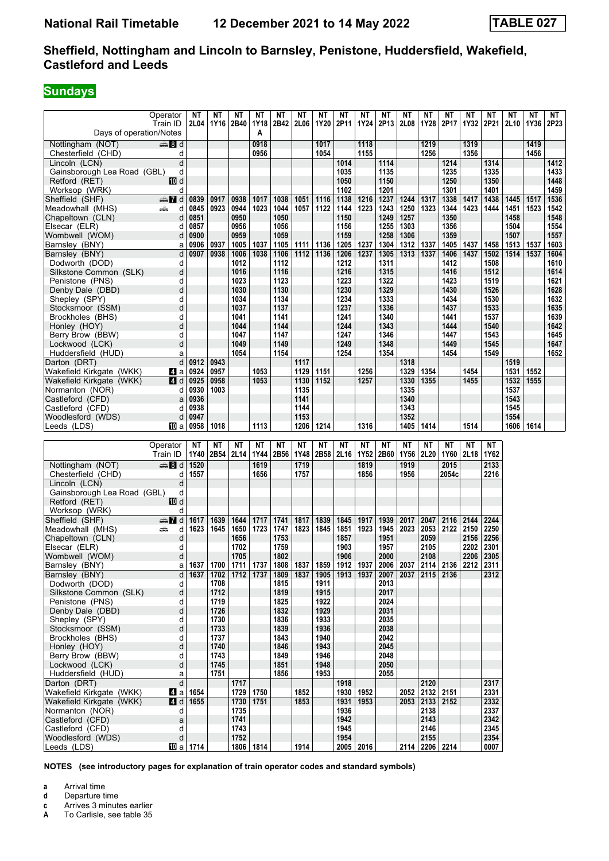### **Sundays**

|                                     | Operator                | ΝT               | ΝT           | NΤ                | ΝT                | ΝT                | ΝT                | ΝT                | ΝT                | ΝT                               | ΝT                | ΝT                | ΝT                     | ΝT                | ΝT                | ΝT                | ΝT           | ΝT           | ΝT           |
|-------------------------------------|-------------------------|------------------|--------------|-------------------|-------------------|-------------------|-------------------|-------------------|-------------------|----------------------------------|-------------------|-------------------|------------------------|-------------------|-------------------|-------------------|--------------|--------------|--------------|
|                                     | Train ID                | 2L04             | 1Y16         | 2B40              | 1Y18              | 2B42              | <b>2L06</b>       | 1Y20              | 2P11              | 1Y24                             | 2P13              | 2L08              | 1Y28                   | 2P17              | 1Y32              | 2P21              | 2L10         | 1Y36         | 2P23         |
| Days of operation/Notes             |                         |                  |              |                   | A                 |                   |                   |                   |                   |                                  |                   |                   |                        |                   |                   |                   |              |              |              |
| Nottingham (NOT)                    | de and                  |                  |              |                   | 0918              |                   |                   | 1017              |                   | 1118                             |                   |                   | 1219                   |                   | 1319              |                   |              | 1419         |              |
| Chesterfield (CHD)<br>Lincoln (LCN) | d<br>d                  |                  |              |                   | 0956              |                   |                   | 1054              |                   | 1155                             |                   |                   | 1256                   |                   | 1356              |                   |              | 1456         | 1412         |
| Gainsborough Lea Road (GBL)         | d                       |                  |              |                   |                   |                   |                   |                   | 1014<br>1035      |                                  | 1114<br>1135      |                   |                        | 1214<br>1235      |                   | 1314<br>1335      |              |              | 1433         |
| Retford (RET)                       | 10 d                    |                  |              |                   |                   |                   |                   |                   | 1050              |                                  | 1150              |                   |                        | 1250              |                   | 1350              |              |              | 1448         |
| Worksop (WRK)                       | d                       |                  |              |                   |                   |                   |                   |                   | 1102              |                                  | 1201              |                   |                        | 1301              |                   | 1401              |              |              | 1459         |
| Sheffield (SHF)                     | d Manual                | 0839             | 0917         | 0938              | 1017              | 1038              | 1051              | 1116              | 1138              | 1216                             | 1237              | 1244              | 1317                   | 1338              | 1417              | 1438              | 1445         | 1517         | 1536         |
| Meadowhall (MHS)                    | æ<br>d                  | 0845             | 0923         | 0944              | 1023              | 1044              | 1057              | 1122              | 1144              | 1223                             | 1243              | 1250              | 1323                   | 1344              | 1423              | 1444              | 1451         | 1523         | 1542         |
| Chapeltown (CLN)                    | d                       | 0851             |              | 0950              |                   | 1050              |                   |                   | 1150              |                                  | 1249              | 1257              |                        | 1350              |                   |                   | 1458         |              | 1548         |
| Elsecar (ELR)                       | d                       | 0857             |              | 0956              |                   | 1056              |                   |                   | 1156              |                                  | 1255              | 1303              |                        | 1356              |                   |                   | 1504         |              | 1554         |
| Wombwell (WOM)                      | d                       | 0900             |              | 0959              |                   | 1059              |                   |                   | 1159              |                                  | 1258              | 1306              |                        | 1359              |                   |                   | 1507         |              | 1557         |
| Barnsley (BNY)                      | a                       | 0906             | 0937         | 1005<br>1006      | 1037<br>1038      | 1105              | 1111              | 1136              | 1205              | 1237<br>1237                     | 1304<br>1305      | 1312<br>1313      | 1337<br>1337           | 1405              | 1437              | 1458<br>1502      | 1513<br>1514 | 1537<br>1537 | 1603<br>1604 |
| Barnsley (BNY)<br>Dodworth (DOD)    | d<br>d                  | 0907             | 0938         | 1012              |                   | 1106<br>1112      |                   | $1112$   1136     | 1206<br>1212      |                                  | 1311              |                   |                        | 1406<br>1412      | 1437              | 1508              |              |              | 1610         |
| Silkstone Common (SLK)              | d                       |                  |              | 1016              |                   | 1116              |                   |                   | 1216              |                                  | 1315              |                   |                        | 1416              |                   | 1512              |              |              | 1614         |
| Penistone (PNS)                     | d                       |                  |              | 1023              |                   | 1123              |                   |                   | 1223              |                                  | 1322              |                   |                        | 1423              |                   | 1519              |              |              | 1621         |
| Denby Dale (DBD)                    | d                       |                  |              | 1030              |                   | 1130              |                   |                   | 1230              |                                  | 1329              |                   |                        | 1430              |                   | 1526              |              |              | 1628         |
| Shepley (SPY)                       | d                       |                  |              | 1034              |                   | 1134              |                   |                   | 1234              |                                  | 1333              |                   |                        | 1434              |                   | 1530              |              |              | 1632         |
| Stocksmoor (SSM)                    | d                       |                  |              | 1037              |                   | 1137              |                   |                   | 1237              |                                  | 1336              |                   |                        | 1437              |                   | 1533              |              |              | 1635         |
| Brockholes (BHS)                    | d                       |                  |              | 1041              |                   | 1141              |                   |                   | 1241              |                                  | 1340              |                   |                        | 1441              |                   | 1537              |              |              | 1639         |
| Honley (HOY)                        | d                       |                  |              | 1044              |                   | 1144              |                   |                   | 1244              |                                  | 1343              |                   |                        | 1444              |                   | 1540              |              |              | 1642         |
| Berry Brow (BBW)                    | d                       |                  |              | 1047              |                   | 1147              |                   |                   | 1247              |                                  | 1346              |                   |                        | 1447              |                   | 1543              |              |              | 1645         |
| Lockwood (LCK)                      | d                       |                  |              | 1049              |                   | 1149              |                   |                   | 1249              |                                  | 1348              |                   |                        | 1449              |                   | 1545              |              |              | 1647         |
| Huddersfield (HUD)<br>Darton (DRT)  | a<br>d                  | 0912             | 0943         | 1054              |                   | 1154              | 1117              |                   | 1254              |                                  | 1354              | 1318              |                        | 1454              |                   | 1549              | 1519         |              | 1652         |
| Wakefield Kirkgate (WKK)            | ZI a                    | 0924             | 0957         |                   | 1053              |                   | 1129              | 1151              |                   | 1256                             |                   | 1329              | 1354                   |                   | 1454              |                   | 1531         | 1552         |              |
| Wakefield Kirkgate (WKK)            | L4 d                    | 0925             | 0958         |                   | 1053              |                   | 1130              | 1152              |                   | 1257                             |                   | 1330              | 1355                   |                   | 1455              |                   | 1532         | 1555         |              |
| Normanton (NOR)                     | d                       | 0930             | 1003         |                   |                   |                   | 1135              |                   |                   |                                  |                   | 1335              |                        |                   |                   |                   | 1537         |              |              |
| Castleford (CFD)                    | a                       | 0936             |              |                   |                   |                   | 1141              |                   |                   |                                  |                   | 1340              |                        |                   |                   |                   | 1543         |              |              |
| Castleford (CFD)                    | d                       | 0938             |              |                   |                   |                   | 1144              |                   |                   |                                  |                   | 1343              |                        |                   |                   |                   | 1545         |              |              |
| Woodlesford (WDS)                   | d                       | 0947             |              |                   |                   |                   | 1153              |                   |                   |                                  |                   | 1352              |                        |                   |                   |                   | 1554         |              |              |
| Leeds (LDS)                         | 100 a                   | 0958             | 1018         |                   | 1113              |                   | 1206              | 1214              |                   | 1316                             |                   | 1405              | 1414                   |                   | 1514              |                   | 1606         | 1614         |              |
|                                     |                         |                  |              |                   |                   |                   |                   |                   |                   |                                  |                   |                   |                        |                   |                   |                   |              |              |              |
|                                     | Operator<br>Train ID    | NΤ<br>1Y40       | NΤ<br>2B54   | <b>NT</b><br>2L14 | <b>NT</b><br>1Y44 | <b>NT</b><br>2B56 | <b>NT</b><br>1Y48 | <b>NT</b><br>2B58 | <b>NT</b><br>2L16 | <b>NT</b><br>1Y52                | <b>NT</b><br>2B60 | <b>NT</b><br>1Y56 | <b>NT</b><br>2L20      | <b>NT</b><br>1Y60 | <b>NT</b><br>2L18 | <b>NT</b><br>1Y62 |              |              |              |
| Nottingham (NOT)                    | ্ষী d                   | 1520             |              |                   | 1619              |                   | 1719              |                   |                   | 1819                             |                   | 1919              |                        | 2015              |                   | 2133              |              |              |              |
| Chesterfield (CHD)                  | d                       | 1557             |              |                   | 1656              |                   | 1757              |                   |                   | 1856                             |                   | 1956              |                        | 2054c             |                   | 2216              |              |              |              |
| Lincoln (LCN)                       | d                       |                  |              |                   |                   |                   |                   |                   |                   |                                  |                   |                   |                        |                   |                   |                   |              |              |              |
| Gainsborough Lea Road (GBL)         | d                       |                  |              |                   |                   |                   |                   |                   |                   |                                  |                   |                   |                        |                   |                   |                   |              |              |              |
| Retford (RET)                       | 10 d                    |                  |              |                   |                   |                   |                   |                   |                   |                                  |                   |                   |                        |                   |                   |                   |              |              |              |
| Worksop (WRK)                       | d                       |                  |              |                   |                   |                   |                   |                   |                   |                                  |                   |                   |                        |                   |                   |                   |              |              |              |
| Sheffield (SHF)                     | $\oplus \blacksquare$ d | 1617             | 1639         | 1644              | 1717              | 1741              | 1817              | 1839              | 1845              | 1917                             | 1939              | 2017              | 2047                   | 2116              | 2144              | 2244              |              |              |              |
| Meadowhall (MHS)                    | پیش<br>d                | 1623             | 1645         | 1650              | 1723              | 1747              | 1823              | 1845              | 1851              | 1923                             | 1945              | 2023              | 2053                   | 2122              | 2150              | 2250              |              |              |              |
| Chapeltown (CLN)                    | d                       |                  |              | 1656              |                   | 1753              |                   |                   | 1857              |                                  | 1951              |                   | 2059                   |                   | 2156              | 2256              |              |              |              |
| Elsecar (ELR)                       | d                       |                  |              | 1702              |                   | 1759              |                   |                   | 1903              |                                  | 1957              |                   | 2105                   |                   | 2202              | 2301              |              |              |              |
| Wombwell (WOM)<br>Barnsley (BNY)    | d<br>а                  | 1637             | 1700         | 1705<br>1711      | 1737              | 1802<br>1808      | 1837              | 1859              | 1906<br>1912      | 1937                             | 2000<br>2006      | 2037              | 2108<br>2114           | 2136              | 2206<br>2212      | 2305<br>2311      |              |              |              |
| Barnsley (BNY)                      | d                       | 1637             |              |                   | 1702 1712 1737    |                   |                   |                   |                   | 1809   1837   1905   1913   1937 | 2007              | 2037              |                        | $2115$ 2136       |                   | 2312              |              |              |              |
| Dodworth (DOD)                      | d                       |                  | 1708         |                   |                   | 1815              |                   | 1911              |                   |                                  | 2013              |                   |                        |                   |                   |                   |              |              |              |
| Silkstone Common (SLK)              | d                       |                  | 1712         |                   |                   | 1819              |                   | 1915              |                   |                                  | 2017              |                   |                        |                   |                   |                   |              |              |              |
| Penistone (PNS)                     | d                       |                  | 1719         |                   |                   | 1825              |                   | 1922              |                   |                                  | 2024              |                   |                        |                   |                   |                   |              |              |              |
| Denby Dale (DBD)                    | d                       |                  | 1726         |                   |                   | 1832              |                   | 1929              |                   |                                  | 2031              |                   |                        |                   |                   |                   |              |              |              |
| Shepley (SPY)                       | d                       |                  | 1730         |                   |                   | 1836              |                   | 1933              |                   |                                  | 2035              |                   |                        |                   |                   |                   |              |              |              |
| Stocksmoor (SSM)                    | d                       |                  | 1733         |                   |                   | 1839              |                   | 1936              |                   |                                  | 2038              |                   |                        |                   |                   |                   |              |              |              |
| Brockholes (BHS)                    | d<br>d                  |                  | 1737<br>1740 |                   |                   | 1843<br>1846      |                   | 1940<br>1943      |                   |                                  | 2042<br>2045      |                   |                        |                   |                   |                   |              |              |              |
| Honley (HOY)<br>Berry Brow (BBW)    | d                       |                  | 1743         |                   |                   | 1849              |                   | 1946              |                   |                                  | 2048              |                   |                        |                   |                   |                   |              |              |              |
| Lockwood (LCK)                      | d                       |                  | 1745         |                   |                   | 1851              |                   | 1948              |                   |                                  | 2050              |                   |                        |                   |                   |                   |              |              |              |
| Huddersfield (HUD)                  | a                       |                  | 1751         |                   |                   | 1856              |                   | 1953              |                   |                                  | 2055              |                   |                        |                   |                   |                   |              |              |              |
| Darton (DRT)                        | d                       |                  |              | 1717              |                   |                   |                   |                   | 1918              |                                  |                   |                   | 2120                   |                   |                   | 2317              |              |              |              |
| Wakefield Kirkgate (WKK)            | 4 a                     | 1654             |              | 1729              | 1750              |                   | 1852              |                   | 1930              | 1952                             |                   | 2052              | 2132                   | 2151              |                   | 2331              |              |              |              |
| Wakefield Kirkgate (WKK)            | $\blacksquare$ d        | 1655             |              | 1730              | 1751              |                   | 1853              |                   | 1931              | 1953                             |                   |                   | 2053 2133 2152         |                   |                   | 2332              |              |              |              |
| Normanton (NOR)                     | d                       |                  |              | 1735              |                   |                   |                   |                   | 1936              |                                  |                   |                   | 2138                   |                   |                   | 2337              |              |              |              |
| Castleford (CFD)                    | $\mathsf{a}$            |                  |              | 1741              |                   |                   |                   |                   | 1942              |                                  |                   |                   | 2143                   |                   |                   | 2342              |              |              |              |
| Castleford (CFD)                    | d                       |                  |              | 1743              |                   |                   |                   |                   | 1945              |                                  |                   |                   | 2146                   |                   |                   | 2345              |              |              |              |
| Woodlesford (WDS)<br>Leeds (LDS)    | d                       | <b>10</b> a 1714 |              | 1752              | 1806 1814         |                   | 1914              |                   | 1954              | 2005 2016                        |                   |                   | 2155<br>2114 2206 2214 |                   |                   | 2354<br>0007      |              |              |              |
|                                     |                         |                  |              |                   |                   |                   |                   |                   |                   |                                  |                   |                   |                        |                   |                   |                   |              |              |              |

- **a** Arrival time<br>**d** Departure ti
- **d** Departure time
- **c** Arrives 3 minutes earlier<br>**A** To Carlisle, see table 35
- To Carlisle, see table 35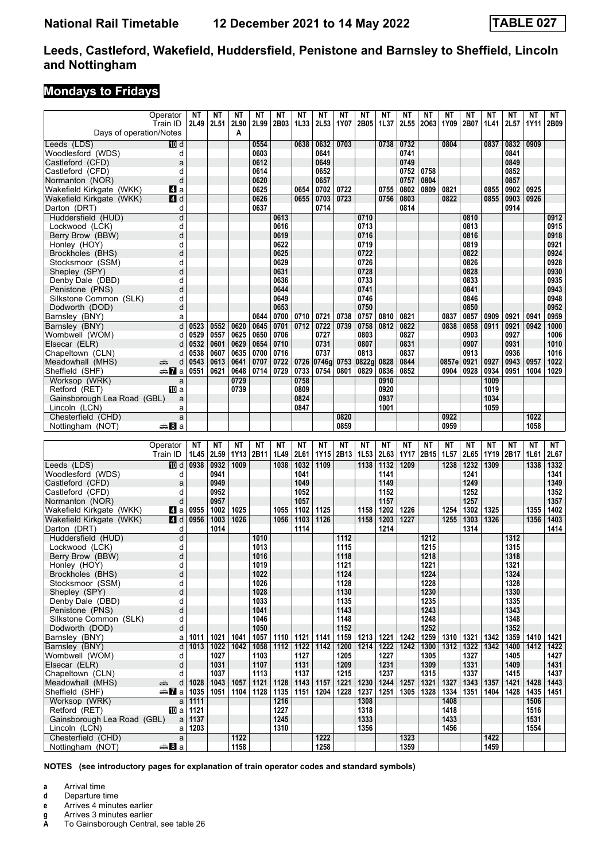### **Mondays to Fridays**

|                                                      | Operator<br>Train ID  | ΝT<br>2L49   | ΝT<br>2L51   | ΝT<br>2L90        | NΤ<br>2L99        | ΝT<br>2B03        | NΤ<br>1L33        | NΤ<br>2L53        | NΤ<br>1Y07        | ΝT<br>2B05        | ΝT<br>1L37        | NΤ<br>2L55               | NΤ<br>2063             | ΝT<br>1Y09    | NΤ<br>2B07   | NΤ<br>1L41        | NΤ<br>2L57   | NΤ<br><b>1Y11</b> | ΝT<br>2B09   |
|------------------------------------------------------|-----------------------|--------------|--------------|-------------------|-------------------|-------------------|-------------------|-------------------|-------------------|-------------------|-------------------|--------------------------|------------------------|---------------|--------------|-------------------|--------------|-------------------|--------------|
| Days of operation/Notes                              |                       |              |              | A                 |                   |                   |                   |                   |                   |                   |                   |                          |                        |               |              |                   |              |                   |              |
| Leeds (LDS)<br>Woodlesford (WDS)                     | <b>ID</b> d<br>d      |              |              |                   | 0554<br>0603      |                   | 0638              | 0632<br>0641      | 0703              |                   | 0738              | 0732<br>0741             |                        | 0804          |              | 0837              | 0832<br>0841 | 0909              |              |
| Castleford (CFD)                                     | a                     |              |              |                   | 0612              |                   |                   | 0649              |                   |                   |                   | 0749                     |                        |               |              |                   | 0849         |                   |              |
| Castleford (CFD)                                     | d                     |              |              |                   | 0614              |                   |                   | 0652              |                   |                   |                   | 0752                     | 0758                   |               |              |                   | 0852         |                   |              |
| Normanton (NOR)<br>Wakefield Kirkgate (WKK)          | d<br>Z1 a             |              |              |                   | 0620<br>0625      |                   | 0654              | 0657<br>0702      | 0722              |                   | 0755              | 0757<br>0802             | 0804<br>0809           | 0821          |              | 0855              | 0857<br>0902 | 0925              |              |
| Wakefield Kirkgate (WKK)                             | <b>4 d</b>            |              |              |                   | 0626              |                   | 0655              | 0703              | 0723              |                   | 0756              | 0803                     |                        | 0822          |              | 0855              | 0903         | 0926              |              |
| Darton (DRT)                                         | d                     |              |              |                   | 0637              |                   |                   | 0714              |                   |                   |                   | 0814                     |                        |               |              |                   | 0914         |                   |              |
| Huddersfield (HUD)                                   | d                     |              |              |                   |                   | 0613              |                   |                   |                   | 0710              |                   |                          |                        |               | 0810         |                   |              |                   | 0912         |
| Lockwood (LCK)<br>Berry Brow (BBW)                   | d<br>d                |              |              |                   |                   | 0616<br>0619      |                   |                   |                   | 0713<br>0716      |                   |                          |                        |               | 0813<br>0816 |                   |              |                   | 0915<br>0918 |
| Honley (HOY)                                         | d                     |              |              |                   |                   | 0622              |                   |                   |                   | 0719              |                   |                          |                        |               | 0819         |                   |              |                   | 0921         |
| Brockholes (BHS)                                     | d                     |              |              |                   |                   | 0625              |                   |                   |                   | 0722              |                   |                          |                        |               | 0822         |                   |              |                   | 0924         |
| Stocksmoor (SSM)                                     | d                     |              |              |                   |                   | 0629              |                   |                   |                   | 0726              |                   |                          |                        |               | 0826         |                   |              |                   | 0928         |
| Shepley (SPY)                                        | d                     |              |              |                   |                   | 0631              |                   |                   |                   | 0728              |                   |                          |                        |               | 0828         |                   |              |                   | 0930         |
| Denby Dale (DBD)<br>Penistone (PNS)                  | d<br>d                |              |              |                   |                   | 0636<br>0644      |                   |                   |                   | 0733<br>0741      |                   |                          |                        |               | 0833<br>0841 |                   |              |                   | 0935<br>0943 |
| Silkstone Common (SLK)                               | d                     |              |              |                   |                   | 0649              |                   |                   |                   | 0746              |                   |                          |                        |               | 0846         |                   |              |                   | 0948         |
| Dodworth (DOD)                                       | d                     |              |              |                   |                   | 0653              |                   |                   |                   | 0750              |                   |                          |                        |               | 0850         |                   |              |                   | 0952         |
| Barnsley (BNY)                                       | a                     |              |              |                   | 0644              | 0700              | 0710              | 0721              | 0738              | 0757              | 0810              | 0821                     |                        | 0837          | 0857         | 0909              | 0921         | 0941              | 0959         |
| Barnsley (BNY)                                       | d                     | 0523         | 0552         | 0620              | 0645              | 0701              | 0712              | 0722              | 0739              | 0758              | 0812              | 0822                     |                        | 0838          | 0858         | 0911              | 0921         | 0942              | 1000         |
| Wombwell (WOM)<br>Elsecar (ELR)                      | d<br>d                | 0529<br>0532 | 0557<br>0601 | 0625<br>0629      | 0650<br>0654      | 0706<br>0710      |                   | 0727<br>0731      |                   | 0803<br>0807      |                   | 0827<br>0831             |                        |               | 0903<br>0907 |                   | 0927<br>0931 |                   | 1006<br>1010 |
| Chapeltown (CLN)                                     | d                     | 0538         | 0607         | 0635              | 0700              | 0716              |                   | 0737              |                   | 0813              |                   | 0837                     |                        |               | 0913         |                   | 0936         |                   | 1016         |
| Meadowhall (MHS)                                     | پېښ<br>d              | 0543         | 0613         | 0641              | 0707              | 0722              | 0726              | 0746q             | 0753              | 0822g             | 0828              | 0844                     |                        | 0857e         | 0921         | 0927              | 0943         | 0957              | 1022         |
| Sheffield (SHF)                                      | ⊯ <mark>7</mark> a    | 0551         | 0621         | 0648              | 0714              | 0729              | 0733              | 0754              | 0801              | 0829              | 0836              | 0852                     |                        | 0904          | 0928         | 0934              | 0951         | 1004              | 1029         |
| Worksop (WRK)                                        | a                     |              |              | 0729              |                   |                   | 0758              |                   |                   |                   | 0910              |                          |                        |               |              | 1009              |              |                   |              |
| Retford (RET)<br>Gainsborough Lea Road (GBL)         | 100 a                 |              |              | 0739              |                   |                   | 0809<br>0824      |                   |                   |                   | 0920<br>0937      |                          |                        |               |              | 1019<br>1034      |              |                   |              |
| Lincoln (LCN)                                        | a<br>a                |              |              |                   |                   |                   | 0847              |                   |                   |                   | 1001              |                          |                        |               |              | 1059              |              |                   |              |
| Chesterfield (CHD)                                   | a                     |              |              |                   |                   |                   |                   |                   | 0820              |                   |                   |                          |                        | 0922          |              |                   |              | 1022              |              |
| Nottingham (NOT)                                     | a ananan              |              |              |                   |                   |                   |                   |                   | 0859              |                   |                   |                          |                        | 0959          |              |                   |              | 1058              |              |
|                                                      |                       |              |              |                   |                   |                   |                   |                   |                   |                   |                   |                          |                        |               |              |                   |              |                   |              |
|                                                      |                       |              |              |                   |                   |                   |                   |                   |                   |                   |                   |                          |                        |               |              |                   |              |                   |              |
|                                                      | Operator<br>Train ID  | NΤ<br>1L45   | NΤ<br>2L59   | <b>NT</b><br>1Y13 | <b>NT</b><br>2B11 | <b>NT</b><br>1L49 | <b>NT</b><br>2L61 | <b>NT</b><br>1Y15 | <b>NT</b><br>2B13 | <b>NT</b><br>1L53 | <b>NT</b><br>2L63 | <b>NT</b><br><b>1Y17</b> | ΝT<br>2B <sub>15</sub> | ΝT<br>1L57    | ΝT<br>2L65   | <b>NT</b><br>1Y19 | NΤ<br>2B17   | <b>NT</b><br>1L61 | NT<br>2L67   |
| Leeds (LDS)                                          | <b>ID</b> d           | 0938         | 0932         | 1009              |                   | 1038              | 1032              | 1109              |                   | 1138              | 1132              | 1209                     |                        | 1238          | 1232         | 1309              |              | 1338              | 1332         |
| Woodlesford (WDS)                                    | d                     |              | 0941         |                   |                   |                   | 1041              |                   |                   |                   | 1141              |                          |                        |               | 1241         |                   |              |                   | 1341         |
| Castleford (CFD)                                     | a                     |              | 0949         |                   |                   |                   | 1049              |                   |                   |                   | 1149              |                          |                        |               | 1249         |                   |              |                   | 1349         |
| Castleford (CFD)                                     | d                     |              | 0952         |                   |                   |                   | 1052              |                   |                   |                   | 1152              |                          |                        |               | 1252         |                   |              |                   | 1352         |
| Normanton (NOR)                                      | d                     |              | 0957         |                   |                   |                   | 1057              |                   |                   |                   | 1157              |                          |                        |               | 1257         |                   |              |                   | 1357         |
| Wakefield Kirkgate (WKK)<br>Wakefield Kirkgate (WKK) | M a<br>L4 d           | 0955<br>0956 | 1002<br>1003 | 1025<br>1026      |                   | 1055<br>1056      | 1102<br>1103      | 1125<br>1126      |                   | 1158<br>1158      | 1202<br>1203      | 1226<br>1227             |                        | 1254<br>1255  | 1302<br>1303 | 1325<br>1326      |              | 1355<br>1356      | 1402<br>1403 |
| Darton (DRT)                                         | d                     |              | 1014         |                   |                   |                   | 1114              |                   |                   |                   | 1214              |                          |                        |               | 1314         |                   |              |                   | 1414         |
| Huddersfield (HUD)                                   | d                     |              |              |                   | 1010              |                   |                   |                   | 1112              |                   |                   |                          | 1212                   |               |              |                   | 1312         |                   |              |
| Lockwood (LCK)                                       | d                     |              |              |                   | 1013              |                   |                   |                   | 1115              |                   |                   |                          | 1215                   |               |              |                   | 1315         |                   |              |
| Berry Brow (BBW)                                     | d                     |              |              |                   | 1016              |                   |                   |                   | 1118              |                   |                   |                          | 1218                   |               |              |                   | 1318         |                   |              |
| Honley (HOY)<br>Brockholes (BHS)                     | d<br>d                |              |              |                   | 1019<br>1022      |                   |                   |                   | 1121<br>1124      |                   |                   |                          | 1221<br>1224           |               |              |                   | 1321<br>1324 |                   |              |
| Stocksmoor (SSM)                                     | d                     |              |              |                   | 1026              |                   |                   |                   | 1128              |                   |                   |                          | 1228                   |               |              |                   | 1328         |                   |              |
| Shepley (SPY)                                        | d                     |              |              |                   | 1028              |                   |                   |                   | 1130              |                   |                   |                          | 1230                   |               |              |                   | 1330         |                   |              |
| Denby Dale (DBD)                                     | d                     |              |              |                   | 1033              |                   |                   |                   | 1135              |                   |                   |                          | 1235                   |               |              |                   | 1335         |                   |              |
| Penistone (PNS)                                      | d<br>d                |              |              |                   | 1041<br>1046      |                   |                   |                   | 1143              |                   |                   |                          | 1243                   |               |              |                   | 1343         |                   |              |
| Silkstone Common (SLK)<br>Dodworth (DOD)             | d                     |              |              |                   | 1050              |                   |                   |                   | 1148<br>1152      |                   |                   |                          | 1248<br>1252           |               |              |                   | 1348<br>1352 |                   |              |
| Barnsley (BNY)                                       | a                     | 1011         | 1021         | 1041              | 1057              | 1110              | 1121              | 1141              | 1159              | 1213              | 1221              | 1242                     | 1259                   | 1310          | 1321         | 1342              | 1359         | 1410              | 1421         |
| Barnsley (BNY)                                       | d                     | 1013         | 1022         | 1042              | 1058              | 1112              | 1122              | 1142              | 1200              | 1214              | 1222              | 1242                     | 1300                   | $1312$   1322 |              | 1342              | 1400         | 1412              | 1422         |
| Wombwell (WOM)                                       | d                     |              | 1027         |                   | 1103              |                   | 1127              |                   | 1205              |                   | 1227              |                          | 1305                   |               | 1327         |                   | 1405         |                   | 1427         |
| Elsecar (ELR)<br>Chapeltown (CLN)                    | d<br>d                |              | 1031<br>1037 |                   | 1107<br>1113      |                   | 1131<br>1137      |                   | 1209<br>1215      |                   | 1231<br>1237      |                          | 1309<br>1315           |               | 1331<br>1337 |                   | 1409<br>1415 |                   | 1431<br>1437 |
| Meadowhall (MHS)                                     | æ<br>d                | 1028         | 1043         | 1057              | 1121              | 1128              | 1143              | 1157              | 1221              | 1230              | 1244              | 1257                     | 1321                   | 1327          | 1343         | 1357              | 1421         | 1428              | 1443         |
| Sheffield (SHF)                                      | dan <mark>7i</mark> a | 1035         | 1051         | 1104              | 1128              | 1135              | 1151              | 1204              | 1228              | 1237              | 1251              | 1305                     | 1328                   | 1334          | 1351         | 1404              | 1428         | 1435              | 1451         |
| Worksop (WRK)                                        | a                     | 1111         |              |                   |                   | 1216              |                   |                   |                   | 1308              |                   |                          |                        | 1408          |              |                   |              | 1506              |              |
| Retford (RET)                                        | 100 a                 | 1121         |              |                   |                   | 1227              |                   |                   |                   | 1318              |                   |                          |                        | 1418          |              |                   |              | 1516              |              |
| Gainsborough Lea Road (GBL)<br>Lincoln (LCN)         | a<br>a                | 1137<br>1203 |              |                   |                   | 1245<br>1310      |                   |                   |                   | 1333<br>1356      |                   |                          |                        | 1433<br>1456  |              |                   |              | 1531<br>1554      |              |
| Chesterfield (CHD)<br>Nottingham (NOT)               | a<br><del>⊯</del> ыВа |              |              | 1122<br>1158      |                   |                   |                   | 1222<br>1258      |                   |                   |                   | 1323<br>1359             |                        |               |              | 1422<br>1459      |              |                   |              |

- **a** Arrival time
- **d** Departure time
- 
- **e** Arrives 4 minutes earlier<br>**g** Arrives 3 minutes earlier<br>**A** To Gainsborough Centra **g** Arrives 3 minutes earlier
- To Gainsborough Central, see table 26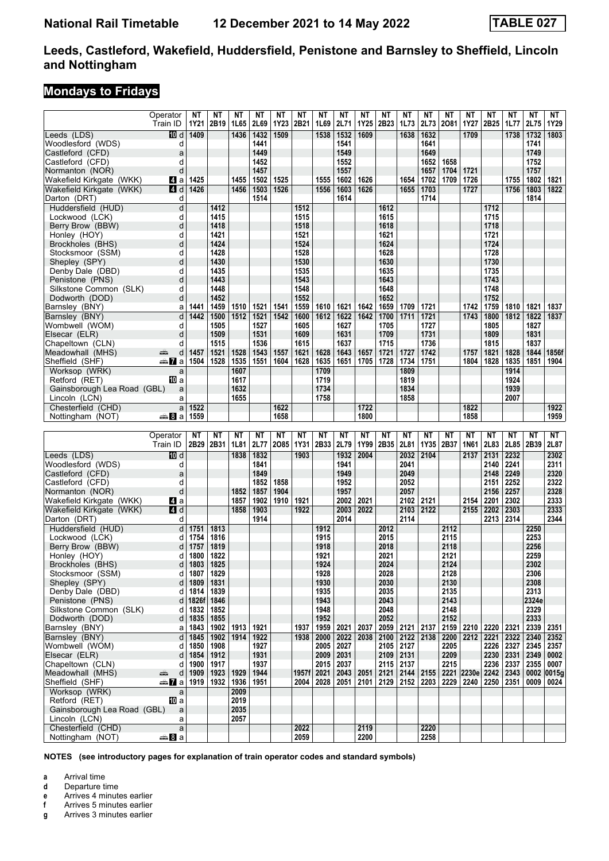### **Mondays to Fridays**

|                                             | Operator                 | ΝT            | ΝT           | ΝT           | NΤ           | <b>NT</b> | <b>NT</b>     | NΤ           | NΤ           | <b>NT</b>    | <b>NT</b>    | NT                         | <b>NT</b>    | <b>NT</b>    | <b>NT</b>               | <b>NT</b>        | <b>NT</b>    | <b>NT</b>     | <b>NT</b>     |
|---------------------------------------------|--------------------------|---------------|--------------|--------------|--------------|-----------|---------------|--------------|--------------|--------------|--------------|----------------------------|--------------|--------------|-------------------------|------------------|--------------|---------------|---------------|
|                                             | Train ID                 | 1Y21          | 2B19         | 1L65         | 2L69         | 1Y23      | 2B21          | 1L69         | 2L71         | <b>1Y25</b>  | 2B23         | 1L73                       | 2L73         | 2081         | 1Y27                    | 2B <sub>25</sub> | 1L77         | 2L75          | 1Y29          |
| Leeds (LDS)                                 | 100 d                    | 1409          |              | 1436         | 1432         | 1509      |               | 1538         | 1532         | 1609         |              | 1638                       | 1632         |              | 1709                    |                  | 1738         | 1732          | 1803          |
| Woodlesford (WDS)                           | d                        |               |              |              | 1441         |           |               |              | 1541         |              |              |                            | 1641         |              |                         |                  |              | 1741          |               |
| Castleford (CFD)                            | a                        |               |              |              | 1449         |           |               |              | 1549         |              |              |                            | 1649         |              |                         |                  |              | 1749          |               |
| Castleford (CFD)                            | d                        |               |              |              | 1452         |           |               |              | 1552         |              |              |                            | 1652         | 1658         |                         |                  |              | 1752          |               |
| Normanton (NOR)<br>Wakefield Kirkgate (WKK) | d<br>Z1 a                | 1425          |              | 1455         | 1457<br>1502 | 1525      |               | 1555         | 1557<br>1602 | 1626         |              | 1654                       | 1657<br>1702 | 1704<br>1709 | 1721<br>1726            |                  | 1755         | 1757<br>1802  | 1821          |
| Wakefield Kirkgate (WKK)                    | <b>4</b> d               | 1426          |              | 1456         | 1503         | 1526      |               | 1556         | 1603         | 1626         |              | 1655                       | 1703         |              | 1727                    |                  | 1756         | 1803          | 1822          |
| Darton (DRT)                                | d                        |               |              |              | 1514         |           |               |              | 1614         |              |              |                            | 1714         |              |                         |                  |              | 1814          |               |
| Huddersfield (HUD)                          | d                        |               | 1412         |              |              |           | 1512          |              |              |              | 1612         |                            |              |              |                         | 1712             |              |               |               |
| Lockwood (LCK)                              | d                        |               | 1415         |              |              |           | 1515          |              |              |              | 1615         |                            |              |              |                         | 1715             |              |               |               |
| Berry Brow (BBW)                            | d                        |               | 1418         |              |              |           | 1518          |              |              |              | 1618         |                            |              |              |                         | 1718             |              |               |               |
| Honley (HOY)                                | d                        |               | 1421         |              |              |           | 1521          |              |              |              | 1621         |                            |              |              |                         | 1721             |              |               |               |
| Brockholes (BHS)                            | d                        |               | 1424         |              |              |           | 1524          |              |              |              | 1624         |                            |              |              |                         | 1724             |              |               |               |
| Stocksmoor (SSM)<br>Shepley (SPY)           | d<br>d                   |               | 1428<br>1430 |              |              |           | 1528<br>1530  |              |              |              | 1628<br>1630 |                            |              |              |                         | 1728<br>1730     |              |               |               |
| Denby Dale (DBD)                            | d                        |               | 1435         |              |              |           | 1535          |              |              |              | 1635         |                            |              |              |                         | 1735             |              |               |               |
| Penistone (PNS)                             | d                        |               | 1443         |              |              |           | 1543          |              |              |              | 1643         |                            |              |              |                         | 1743             |              |               |               |
| Silkstone Common (SLK)                      | d                        |               | 1448         |              |              |           | 1548          |              |              |              | 1648         |                            |              |              |                         | 1748             |              |               |               |
| Dodworth (DOD)                              | d                        |               | 1452         |              |              |           | 1552          |              |              |              | 1652         |                            |              |              |                         | 1752             |              |               |               |
| Barnsley (BNY)                              | a                        | 1441          | 1459         | 1510         | 1521         | 1541      | 1559          | 1610         | 1621         | 1642         | 1659         | 1709                       | 1721         |              | 1742                    | 1759             | 1810         | 1821          | 1837          |
| Barnsley (BNY)                              | d                        | 1442          | 1500         | 1512         | 1521         | 1542      | 1600          | 1612         | 1622         | 1642         | 1700         | 1711                       | 1721         |              | 1743                    | 1800             | 1812         | 1822          | 1837          |
| Wombwell (WOM)                              | d                        |               | 1505         |              | 1527         |           | 1605          |              | 1627         |              | 1705         |                            | 1727         |              |                         | 1805             |              | 1827          |               |
| Elsecar (ELR)                               | d                        |               | 1509<br>1515 |              | 1531<br>1536 |           | 1609<br>1615  |              | 1631<br>1637 |              | 1709<br>1715 |                            | 1731<br>1736 |              |                         | 1809<br>1815     |              | 1831<br>1837  |               |
| Chapeltown (CLN)<br>Meadowhall (MHS)        | d<br>پیش<br>d            | 1457          | 1521         | 1528         | 1543         | 1557      | 1621          | 1628         | 1643         | 1657         | 1721         | 1727                       | 1742         |              | 1757                    | 1821             | 1828         | 1844          | 1856f         |
| Sheffield (SHF)                             | dan <mark>7</mark> a     | 1504          | 1528         | 1535         | 1551         | 1604      | 1628          | 1635         | 1651         | 1705         | 1728         | 1734                       | 1751         |              | 1804                    | 1828             | 1835         | 1851          | 1904          |
| Worksop (WRK)                               | a                        |               |              | 1607         |              |           |               | 1709         |              |              |              | 1809                       |              |              |                         |                  | 1914         |               |               |
| Retford (RET)                               | 100 a                    |               |              | 1617         |              |           |               | 1719         |              |              |              | 1819                       |              |              |                         |                  | 1924         |               |               |
| Gainsborough Lea Road (GBL)                 | a                        |               |              | 1632         |              |           |               | 1734         |              |              |              | 1834                       |              |              |                         |                  | 1939         |               |               |
| Lincoln (LCN)                               | a                        |               |              | 1655         |              |           |               | 1758         |              |              |              | 1858                       |              |              |                         |                  | 2007         |               |               |
| Chesterfield (CHD)                          | a                        | 1522          |              |              |              | 1622      |               |              |              | 1722         |              |                            |              |              | 1822                    |                  |              |               | 1922          |
| Nottingham (NOT)                            | dana <mark>a</mark> n Ba | 1559          |              |              |              | 1658      |               |              |              | 1800         |              |                            |              |              | 1858                    |                  |              |               | 1959          |
|                                             |                          |               |              |              |              |           |               |              |              |              |              |                            |              |              |                         |                  |              |               |               |
|                                             |                          | NΤ            | NΤ           | NΤ           | NΤ           | NΤ        | NΤ            | NΤ           | NΤ           | ΝT           | ΝT           | ΝT                         | NΤ           | NΤ           | NΤ                      | NΤ               | NΤ           | NΤ            |               |
|                                             | Operator<br>Train ID     | 2B29          | 2B31         | 1L81         | 2L77         | 2085      | <b>1Y31</b>   | 2B33         | 2L79         | 1Y99         | 2B35         | 2L81                       | 1Y35         | 2B37         | 1N61                    | 2L83             | 2L85         | 2B39          | NΤ<br>2L87    |
| Leeds (LDS)                                 | <b>ID</b> d              |               |              | 1838         | 1832         |           | 1903          |              | 1932         | 2004         |              | 2032                       | 2104         |              | 2137                    | 2131             | 2232         |               | 2302          |
| Woodlesford (WDS)                           | d                        |               |              |              | 1841         |           |               |              | 1941         |              |              | 2041                       |              |              |                         | 2140             | 2241         |               | 2311          |
| Castleford (CFD)                            | a                        |               |              |              | 1849         |           |               |              | 1949         |              |              | 2049                       |              |              |                         | 2148             | 2249         |               | 2320          |
| Castleford (CFD)                            | d                        |               |              |              | 1852         | 1858      |               |              | 1952         |              |              | 2052                       |              |              |                         | 2151             | 2252         |               | 2322          |
| Normanton (NOR)                             | d                        |               |              | 1852         | 1857         | 1904      |               |              | 1957         |              |              | 2057                       |              |              |                         | 2156             | 2257         |               | 2328          |
| Wakefield Kirkgate (WKK)                    | ZI a                     |               |              | 1857         | 1902         | 1910      | 1921          |              | 2002         | 2021         |              | 2102                       | 2121         |              | 2154                    | 2201             | 2302         |               | 2333          |
| Wakefield Kirkgate (WKK)                    | 4 d                      |               |              | 1858         | 1903         |           | 1922          |              | 2003         | 2022         |              | 2103                       | 2122         |              | 2155                    | 2202             | 2303         |               | 2333          |
| Darton (DRT)                                | d                        |               |              |              | 1914         |           |               |              | 2014         |              |              | 2114                       |              |              |                         | 2213             | 2314         |               | 2344          |
| Huddersfield (HUD)<br>Lockwood (LCK)        | d<br>d                   | 1751<br>1754  | 1813<br>1816 |              |              |           |               | 1912<br>1915 |              |              | 2012<br>2015 |                            |              | 2112<br>2115 |                         |                  |              | 2250<br>2253  |               |
| Berry Brow (BBW)                            | d                        | 1757          | 1819         |              |              |           |               | 1918         |              |              | 2018         |                            |              | 2118         |                         |                  |              | 2256          |               |
| Honley (HOY)                                | d                        | 1800          | 1822         |              |              |           |               | 1921         |              |              | 2021         |                            |              | 2121         |                         |                  |              | 2259          |               |
| Brockholes (BHS)                            | d                        | 1803          | 1825         |              |              |           |               | 1924         |              |              | 2024         |                            |              | 2124         |                         |                  |              | 2302          |               |
| Stocksmoor (SSM)                            | d                        | 1807          | 1829         |              |              |           |               | 1928         |              |              | 2028         |                            |              | 2128         |                         |                  |              | 2306          |               |
| Shepley (SPY)                               | d                        | 1809          | 1831         |              |              |           |               | 1930         |              |              | 2030         |                            |              | 2130         |                         |                  |              | 2308          |               |
| Denby Dale (DBD)<br>Penistone (PNS)         | d<br>d                   | 1814          | 1839         |              |              |           |               | 1935         |              |              | 2035         |                            |              | 2135         |                         |                  |              | 2313          |               |
| Silkstone Common (SLK)                      | d                        | 1826f<br>1832 | 1846<br>1852 |              |              |           |               | 1943<br>1948 |              |              | 2043<br>2048 |                            |              | 2143<br>2148 |                         |                  |              | 2324e<br>2329 |               |
| Dodworth (DOD)                              | d                        | 1835          | 1855         |              |              |           |               | 1952         |              |              | 2052         |                            |              | 2152         |                         |                  |              | 2333          |               |
| Barnsley (BNY)                              | a                        | 1843          | 1902         | 1913         | 1921         |           | 1937          | 1959         | 2021         | 2037         | 2059         | 2121                       | 2137         | 2159         | 2210                    | 2220             | 2321         | 2339 2351     |               |
| Barnsley (BNY)                              | d                        | 1845          | 1902         | 1914         | 1922         |           | 1938          | 2000         | 2022         | 2038         | 2100         | 2122                       | 2138         | 2200         | 2212 2221               |                  | 2322         | 2340          | 2352          |
| Wombwell (WOM)                              | d                        | 1850          | 1908         |              | 1927         |           |               | 2005         | 2027         |              | 2105 2127    |                            |              | 2205         |                         | 2226             | 2327         | 2345          | 2357          |
| Elsecar (ELR)                               | d                        | 1854          | 1912         |              | 1931         |           |               | 2009         | 2031         |              | 2109         | 2131                       |              | 2209         |                         | 2230             | 2331         | 2349          | 0002          |
| Chapeltown (CLN)                            | d                        | 1900          | 1917         |              | 1937         |           |               | 2015         | 2037         |              | 2115 2137    |                            |              | 2215         |                         | 2236             | 2337         | 2355          | 0007          |
| Meadowhall (MHS)<br>Sheffield (SHF)         | پیش<br>d<br>antana ka    | 1909<br>1919  | 1923<br>1932 | 1929<br>1936 | 1944<br>1951 |           | 1957f<br>2004 | 2021<br>2028 | 2043<br>2051 | 2051<br>2101 | 2121<br>2129 | $2144$ 2155<br>$2152$ 2203 |              | 2229         | 2221 2230e 2242<br>2240 | 2250             | 2343<br>2351 | 0002<br>0009  | 0015a<br>0024 |
| Worksop (WRK)                               | a                        |               |              | 2009         |              |           |               |              |              |              |              |                            |              |              |                         |                  |              |               |               |
| Retford (RET)                               | [[] a                    |               |              | 2019         |              |           |               |              |              |              |              |                            |              |              |                         |                  |              |               |               |
| Gainsborough Lea Road (GBL)                 | a                        |               |              | 2035         |              |           |               |              |              |              |              |                            |              |              |                         |                  |              |               |               |
| Lincoln (LCN)                               | a                        |               |              | 2057         |              |           |               |              |              |              |              |                            |              |              |                         |                  |              |               |               |
| Chesterfield (CHD)<br>Nottingham (NOT)      | a<br>—аВа                |               |              |              |              |           | 2022<br>2059  |              |              | 2119<br>2200 |              |                            | 2220<br>2258 |              |                         |                  |              |               |               |

**NOTES (see introductory pages for explanation of train operator codes and standard symbols)**

**a** Arrival time<br>**d** Departure ti

**d** Departure time

**e** Arrives 4 minutes earlier

**f** Arrives 5 minutes earlier<br>**g** Arrives 3 minutes earlier **g** Arrives 3 minutes earlier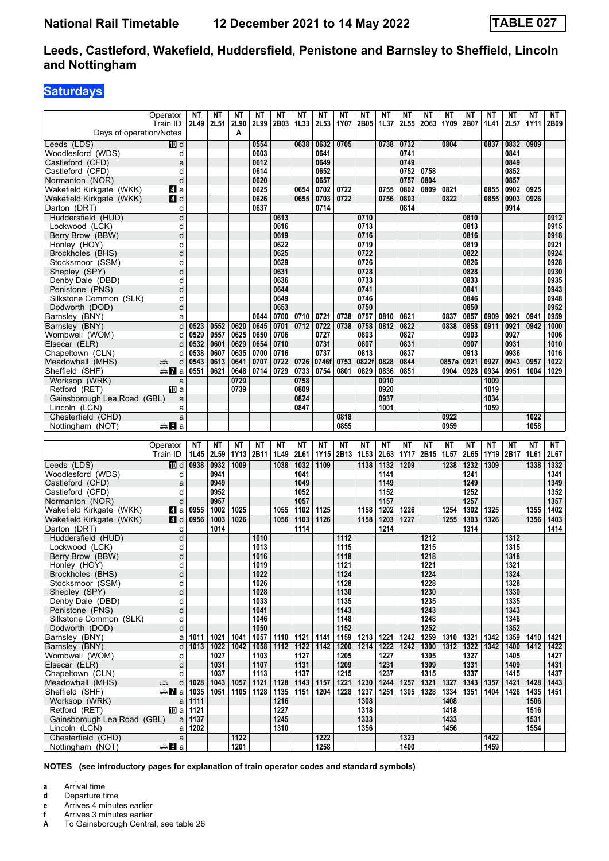# **Saturdays**

| Days of operation/Notes              | Operator<br>Train ID     | ΝT           | <b>NT</b><br>2L49 2L51 | ΝT<br>2L90<br>A   | ΝT<br>2L99        | ΝT<br>2B03        | NΤ<br>1L33        | NΤ<br><b>2L53</b> | ΝT<br>1Y07        | ΝT<br>2B05        | ΝT<br>1L37        | ΝT<br><b>2L55</b> | ΝT<br>2063   | NΤ<br>1Y09        | NΤ<br>2B07            | ΝT<br>1L41        | ΝT<br>2L57   | ΝT<br>1Y11        | NT<br>2B09   |
|--------------------------------------|--------------------------|--------------|------------------------|-------------------|-------------------|-------------------|-------------------|-------------------|-------------------|-------------------|-------------------|-------------------|--------------|-------------------|-----------------------|-------------------|--------------|-------------------|--------------|
| Leeds (LDS)                          | 100 d                    |              |                        |                   | 0554              |                   | 0638              | 0632              | 0705              |                   | 0738              | 0732              |              | 0804              |                       | 0837              | 0832         | 0909              |              |
| Woodlesford (WDS)                    | d                        |              |                        |                   | 0603              |                   |                   | 0641              |                   |                   |                   | 0741              |              |                   |                       |                   | 0841         |                   |              |
| Castleford (CFD)                     | a                        |              |                        |                   | 0612              |                   |                   | 0649              |                   |                   |                   | 0749              |              |                   |                       |                   | 0849         |                   |              |
| Castleford (CFD)                     | d                        |              |                        |                   | 0614              |                   |                   | 0652              |                   |                   |                   | 0752              | 0758         |                   |                       |                   | 0852         |                   |              |
| Normanton (NOR)                      | d                        |              |                        |                   | 0620              |                   |                   | 0657              |                   |                   |                   | 0757              | 0804         |                   |                       |                   | 0857         |                   |              |
| Wakefield Kirkgate (WKK)             | ZI a                     |              |                        |                   | 0625              |                   | 0654              | 0702              | 0722              |                   | 0755              | 0802              | 0809         | 0821              |                       | 0855              | 0902         | 0925              |              |
| Wakefield Kirkgate (WKK)             | <b>4 d</b>               |              |                        |                   | 0626              |                   | 0655              | 0703              | 0722              |                   | 0756              | 0803              |              | 0822              |                       | 0855              | 0903         | 0926              |              |
| Darton (DRT)<br>Huddersfield (HUD)   | d<br>d                   |              |                        |                   | 0637              | 0613              |                   | 0714              |                   | 0710              |                   | 0814              |              |                   | 0810                  |                   | 0914         |                   | 0912         |
| Lockwood (LCK)                       | d                        |              |                        |                   |                   | 0616              |                   |                   |                   | 0713              |                   |                   |              |                   | 0813                  |                   |              |                   | 0915         |
| Berry Brow (BBW)                     | d                        |              |                        |                   |                   | 0619              |                   |                   |                   | 0716              |                   |                   |              |                   | 0816                  |                   |              |                   | 0918         |
| Honley (HOY)                         | d                        |              |                        |                   |                   | 0622              |                   |                   |                   | 0719              |                   |                   |              |                   | 0819                  |                   |              |                   | 0921         |
| Brockholes (BHS)                     | d                        |              |                        |                   |                   | 0625              |                   |                   |                   | 0722              |                   |                   |              |                   | 0822                  |                   |              |                   | 0924         |
| Stocksmoor (SSM)                     | d                        |              |                        |                   |                   | 0629              |                   |                   |                   | 0726              |                   |                   |              |                   | 0826                  |                   |              |                   | 0928         |
| Shepley (SPY)                        | d                        |              |                        |                   |                   | 0631              |                   |                   |                   | 0728              |                   |                   |              |                   | 0828                  |                   |              |                   | 0930         |
| Denby Dale (DBD)                     | d                        |              |                        |                   |                   | 0636              |                   |                   |                   | 0733              |                   |                   |              |                   | 0833                  |                   |              |                   | 0935         |
| Penistone (PNS)                      | d                        |              |                        |                   |                   | 0644              |                   |                   |                   | 0741              |                   |                   |              |                   | 0841                  |                   |              |                   | 0943         |
| Silkstone Common (SLK)               | d                        |              |                        |                   |                   | 0649              |                   |                   |                   | 0746              |                   |                   |              |                   | 0846                  |                   |              |                   | 0948         |
| Dodworth (DOD)                       | d                        |              |                        |                   |                   | 0653              |                   |                   |                   | 0750              |                   |                   |              |                   | 0850                  |                   |              |                   | 0952         |
| Barnsley (BNY)                       | a                        |              |                        |                   | 0644              | 0700              | 0710              | 0721              | 0738              | 0757              | 0810              | 0821              |              | 0837              | 0857                  | 0909              | 0921         | 0941              | 0959         |
| Barnsley (BNY)                       | d                        | 0523         | 0552                   | 0620              | 0645              | 0701              | 0712              | 0722              | 0738              | 0758              | 0812              | 0822              |              | 0838              | 0858                  | 0911              | 0921         | 0942              | 1000         |
| Wombwell (WOM)                       | d                        | 0529         | 0557                   | 0625              | 0650              | 0706              |                   | 0727              |                   | 0803              |                   | 0827              |              |                   | 0903                  |                   | 0927         |                   | 1006         |
| Elsecar (ELR)                        | d                        | 0532<br>0538 | 0601                   | 0629<br>0635      | 0654<br>0700      | 0710              |                   | 0731<br>0737      |                   | 0807<br>0813      |                   | 0831<br>0837      |              |                   | 0907<br>0913          |                   | 0931<br>0936 |                   | 1010<br>1016 |
| Chapeltown (CLN)<br>Meadowhall (MHS) | d<br>æ<br>d              | 0543         | 0607<br>0613           | 0641              | 0707              | 0716<br>0722      | 0726              | 0746f             | 0753              | 0822f             | 0828              | 0844              |              | 0857e             | 0921                  | 0927              | 0943         | 0957              | 1022         |
| Sheffield (SHF)                      | dan Ma                   | 0551         | 0621                   | 0648              | 0714              | 0729              | 0733              | 0754              | 0801              | 0829              | 0836              | 0851              |              | 0904              | 0928                  | 0934              | 0951         | 1004              | 1029         |
| Worksop (WRK)                        | a                        |              |                        | 0729              |                   |                   | 0758              |                   |                   |                   | 0910              |                   |              |                   |                       | 1009              |              |                   |              |
| Retford (RET)                        | 100 a                    |              |                        | 0739              |                   |                   | 0809              |                   |                   |                   | 0920              |                   |              |                   |                       | 1019              |              |                   |              |
| Gainsborough Lea Road (GBL)          | a                        |              |                        |                   |                   |                   | 0824              |                   |                   |                   | 0937              |                   |              |                   |                       | 1034              |              |                   |              |
| Lincoln (LCN)                        | a                        |              |                        |                   |                   |                   | 0847              |                   |                   |                   | 1001              |                   |              |                   |                       | 1059              |              |                   |              |
| Chesterfield (CHD)                   | a                        |              |                        |                   |                   |                   |                   |                   | 0818              |                   |                   |                   |              | 0922              |                       |                   |              | 1022              |              |
| Nottingham (NOT)                     | dana <mark>a</mark> n Ba |              |                        |                   |                   |                   |                   |                   | 0855              |                   |                   |                   |              | 0959              |                       |                   |              | 1058              |              |
|                                      |                          |              |                        |                   |                   |                   |                   |                   |                   |                   |                   |                   |              |                   |                       |                   |              |                   |              |
|                                      |                          |              |                        |                   |                   |                   |                   |                   |                   |                   |                   |                   |              |                   |                       |                   |              |                   |              |
|                                      | Operator<br>Train ID     | NΤ<br>1L45   | <b>NT</b><br>2L59      | <b>NT</b><br>1Y13 | <b>NT</b><br>2B11 | <b>NT</b><br>1L49 | <b>NT</b><br>2L61 | <b>NT</b><br>1Y15 | <b>NT</b><br>2B13 | <b>NT</b><br>1L53 | <b>NT</b><br>2L63 | <b>NT</b><br>1Y17 | NΤ<br>2B15   | <b>NT</b><br>1L57 | NΤ<br>2L65            | <b>NT</b><br>1Y19 | NΤ<br>2B17   | <b>NT</b><br>1L61 | NT<br>2L67   |
| Leeds (LDS)                          | [[] d                    | 0938         | 0932                   | 1009              |                   | 1038              | 1032              | 1109              |                   | 1138              | 1132              | 1209              |              | 1238              | 1232                  | 1309              |              | 1338              | 1332         |
| Woodlesford (WDS)                    | d                        |              | 0941                   |                   |                   |                   | 1041              |                   |                   |                   | 1141              |                   |              |                   | 1241                  |                   |              |                   | 1341         |
| Castleford (CFD)                     | a                        |              | 0949                   |                   |                   |                   | 1049              |                   |                   |                   | 1149              |                   |              |                   | 1249                  |                   |              |                   | 1349         |
| Castleford (CFD)                     | d                        |              | 0952                   |                   |                   |                   | 1052              |                   |                   |                   | 1152              |                   |              |                   | 1252                  |                   |              |                   | 1352         |
| Normanton (NOR)                      | d                        |              | 0957                   |                   |                   |                   | 1057              |                   |                   |                   | 1157              |                   |              |                   | 1257                  |                   |              |                   | 1357         |
| Wakefield Kirkgate (WKK)             | <b>Z</b> a               | 0955         | 1002                   | 1025              |                   | 1055              | 1102              | 1125              |                   | 1158              | 1202              | 1226              |              | 1254              | 1302                  | 1325              |              | 1355              | 1402         |
| Wakefield Kirkgate (WKK)             | 4 d<br>d                 | 0956         | 1003<br>1014           | 1026              |                   | 1056              | 1103<br>1114      | 1126              |                   | 1158              | 1203<br>1214      | 1227              |              | 1255              | 1303<br>1314          | 1326              |              | 1356              | 1403<br>1414 |
| Darton (DRT)<br>Huddersfield (HUD)   | d                        |              |                        |                   | 1010              |                   |                   |                   | 1112              |                   |                   |                   | 1212         |                   |                       |                   | 1312         |                   |              |
| Lockwood (LCK)                       | d                        |              |                        |                   | 1013              |                   |                   |                   | 1115              |                   |                   |                   | 1215         |                   |                       |                   | 1315         |                   |              |
| Berry Brow (BBW)                     | d                        |              |                        |                   | 1016              |                   |                   |                   | 1118              |                   |                   |                   | 1218         |                   |                       |                   | 1318         |                   |              |
| Honley (HOY)                         | Ч                        |              |                        |                   | 1019              |                   |                   |                   | 1121              |                   |                   |                   | 1221         |                   |                       |                   | 1321         |                   |              |
| Brockholes (BHS)                     | d                        |              |                        |                   | 1022              |                   |                   |                   | 1124              |                   |                   |                   | 1224         |                   |                       |                   | 1324         |                   |              |
| Stocksmoor (SSM)                     | d                        |              |                        |                   | 1026              |                   |                   |                   | 1128              |                   |                   |                   | 1228         |                   |                       |                   | 1328         |                   |              |
| Shepley (SPY)                        | d                        |              |                        |                   | 1028              |                   |                   |                   | 1130              |                   |                   |                   | 1230         |                   |                       |                   | 1330         |                   |              |
| Denby Dale (DBD)                     | d                        |              |                        |                   | 1033              |                   |                   |                   | 1135              |                   |                   |                   | 1235         |                   |                       |                   | 1335         |                   |              |
| Penistone (PNS)                      | d                        |              |                        |                   | 1041              |                   |                   |                   | 1143              |                   |                   |                   | 1243         |                   |                       |                   | 1343         |                   |              |
| Silkstone Common (SLK)               | d                        |              |                        |                   | 1046              |                   |                   |                   | 1148              |                   |                   |                   | 1248         |                   |                       |                   | 1348         |                   |              |
| Dodworth (DOD)                       | d                        |              |                        |                   | 1050              |                   |                   |                   | 1152              |                   |                   |                   | 1252         |                   |                       |                   | 1352         |                   |              |
| Barnsley (BNY)<br>Barnsley (BNY)     | a<br>d                   | 1011<br>1013 | 1021<br>1022           | 1041<br>1042      | 1057              | 1110<br>1112      | 1121              | 1141<br>1142      | 1159              | 1213<br>1214      | 1221              | 1242<br>1242      | 1259         | 1310              | 1321                  | 1342<br>1342      | 1359<br>1400 | 1410<br>1412      | 1421<br>1422 |
| Wombwell (WOM)                       | d                        |              | 1027                   |                   | 1058<br>1103      |                   | 1122<br>1127      |                   | 1200<br>1205      |                   | 1222<br>1227      |                   | 1300<br>1305 |                   | $1312$   1322<br>1327 |                   | 1405         |                   | 1427         |
| Elsecar (ELR)                        | d                        |              | 1031                   |                   | 1107              |                   | 1131              |                   | 1209              |                   | 1231              |                   | 1309         |                   | 1331                  |                   | 1409         |                   | 1431         |
| Chapeltown (CLN)                     | d                        |              | 1037                   |                   | 1113              |                   | 1137              |                   | 1215              |                   | 1237              |                   | 1315         |                   | 1337                  |                   | 1415         |                   | 1437         |
| Meadowhall (MHS)                     | æ<br>d                   | 1028         | 1043                   | 1057              | 1121              | 1128              | 1143              | 1157              | 1221              | 1230              | 1244              | 1257              | 1321         | 1327              | 1343                  | 1357              | 1421         | 1428              | 1443         |
| Sheffield (SHF)                      | — সাবি al                | 1035         | 1051                   | 1105              | 1128              | 1135              | 1151              | 1204              | 1228              | 1237              | 1251              | 1305              | 1328         | 1334              | 1351                  | 1404              | 1428         | 1435              | 1451         |
| Worksop (WRK)                        | a                        | 1111         |                        |                   |                   | 1216              |                   |                   |                   | 1308              |                   |                   |              | 1408              |                       |                   |              | 1506              |              |
| Retford (RET)                        | 100 a                    | 1121         |                        |                   |                   | 1227              |                   |                   |                   | 1318              |                   |                   |              | 1418              |                       |                   |              | 1516              |              |
| Gainsborough Lea Road (GBL)          | a                        | 1137         |                        |                   |                   | 1245              |                   |                   |                   | 1333              |                   |                   |              | 1433              |                       |                   |              | 1531              |              |
| Lincoln (LCN)<br>Chesterfield (CHD)  | a<br>a                   | 1202         |                        | 1122              |                   | 1310              |                   | 1222              |                   | 1356              |                   | 1323              |              | 1456              |                       | 1422              |              | 1554              |              |

- **a** Arrival time
- **d** Departure time
- **e** Arrives 4 minutes earlier<br>**f** Arrives 3 minutes earlier
- **f** Arrives 3 minutes earlier<br>**A** To Gainsborough Centra
- To Gainsborough Central, see table 26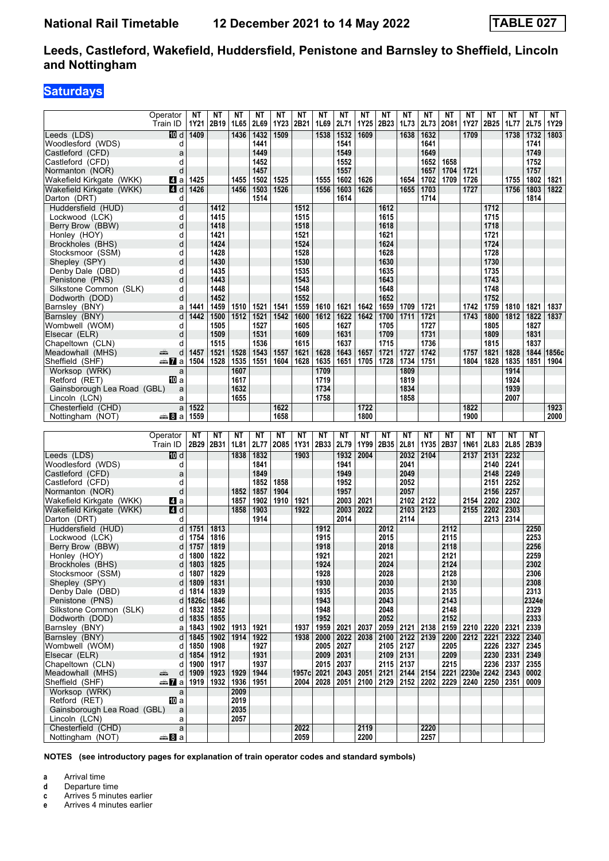# **Saturdays**

|                                                      | Operator                         | ΝT           | ΝT                | ΝT           | <b>NT</b>    | <b>NT</b>  | <b>NT</b>         | <b>NT</b>    | <b>NT</b>    | <b>NT</b>    | <b>NT</b>        | <b>NT</b>    | <b>NT</b>     | <b>NT</b>    | <b>NT</b>       | <b>NT</b>    | <b>NT</b>    | <b>NT</b>    | NT    |
|------------------------------------------------------|----------------------------------|--------------|-------------------|--------------|--------------|------------|-------------------|--------------|--------------|--------------|------------------|--------------|---------------|--------------|-----------------|--------------|--------------|--------------|-------|
|                                                      | Train ID                         | 1Y21         | 2B19              | 1L65         | 2L69         | 1Y23       | 2B21              | 1L69         | 2L71         | 1Y25         | 2B <sub>23</sub> | 1L73         | 2L73          | 2081         | <b>1Y27</b>     | 2B25         | 1L77         | 2L75         | 1Y29  |
| Leeds (LDS)                                          | [[] d                            | 1409         |                   | 1436         | 1432         | 1509       |                   | 1538         | 1532         | 1609         |                  | 1638         | 1632          |              | 1709            |              | 1738         | 1732         | 1803  |
| Woodlesford (WDS)                                    | d                                |              |                   |              | 1441         |            |                   |              | 1541<br>1549 |              |                  |              | 1641<br>1649  |              |                 |              |              | 1741<br>1749 |       |
| Castleford (CFD)<br>Castleford (CFD)                 | a<br>d                           |              |                   |              | 1449<br>1452 |            |                   |              | 1552         |              |                  |              | 1652          | 1658         |                 |              |              | 1752         |       |
| Normanton (NOR)                                      | d                                |              |                   |              | 1457         |            |                   |              | 1557         |              |                  |              | 1657          | 1704         | 1721            |              |              | 1757         |       |
| Wakefield Kirkgate (WKK)                             | Z1 a                             | 1425         |                   | 1455         | 1502         | 1525       |                   | 1555         | 1602         | 1626         |                  | 1654         | 1702          | 1709         | 1726            |              | 1755         | 1802         | 1821  |
| Wakefield Kirkgate (WKK)                             | <b>4 d</b>                       | 1426         |                   | 1456         | 1503         | 1526       |                   | 1556         | 1603         | 1626         |                  | 1655         | 1703          |              | 1727            |              | 1756         | 1803         | 1822  |
| Darton (DRT)<br>Huddersfield (HUD)                   | d<br>d                           |              | 1412              |              | 1514         |            | 1512              |              | 1614         |              | 1612             |              | 1714          |              |                 | 1712         |              | 1814         |       |
| Lockwood (LCK)                                       | d                                |              | 1415              |              |              |            | 1515              |              |              |              | 1615             |              |               |              |                 | 1715         |              |              |       |
| Berry Brow (BBW)                                     | d                                |              | 1418              |              |              |            | 1518              |              |              |              | 1618             |              |               |              |                 | 1718         |              |              |       |
| Honley (HOY)                                         | d                                |              | 1421              |              |              |            | 1521              |              |              |              | 1621             |              |               |              |                 | 1721         |              |              |       |
| Brockholes (BHS)                                     | d                                |              | 1424              |              |              |            | 1524              |              |              |              | 1624             |              |               |              |                 | 1724         |              |              |       |
| Stocksmoor (SSM)                                     | d                                |              | 1428              |              |              |            | 1528              |              |              |              | 1628             |              |               |              |                 | 1728         |              |              |       |
| Shepley (SPY)<br>Denby Dale (DBD)                    | d<br>d                           |              | 1430<br>1435      |              |              |            | 1530<br>1535      |              |              |              | 1630<br>1635     |              |               |              |                 | 1730<br>1735 |              |              |       |
| Penistone (PNS)                                      | d                                |              | 1443              |              |              |            | 1543              |              |              |              | 1643             |              |               |              |                 | 1743         |              |              |       |
| Silkstone Common (SLK)                               | d                                |              | 1448              |              |              |            | 1548              |              |              |              | 1648             |              |               |              |                 | 1748         |              |              |       |
| Dodworth (DOD)                                       | d                                |              | 1452              |              |              |            | 1552              |              |              |              | 1652             |              |               |              |                 | 1752         |              |              |       |
| Barnsley (BNY)                                       | a                                | 1441         | 1459              | 1510         | 1521         | 1541       | 1559              | 1610         | 1621         | 1642         | 1659             | 1709         | 1721          |              | 1742            | 1759         | 1810         | 1821         | 1837  |
| Barnsley (BNY)                                       | d                                | 1442         | 1500              | 1512         | 1521         | 1542       | 1600              | 1612         | 1622         | 1642         | 1700             | 1711         | 1721          |              | 1743            | 1800         | 1812         | 1822         | 1837  |
| Wombwell (WOM)                                       | d                                |              | 1505              |              | 1527         |            | 1605              |              | 1627         |              | 1705             |              | 1727          |              |                 | 1805         |              | 1827         |       |
| Elsecar (ELR)<br>Chapeltown (CLN)                    | d<br>d                           |              | 1509<br>1515      |              | 1531<br>1536 |            | 1609<br>1615      |              | 1631<br>1637 |              | 1709<br>1715     |              | 1731<br>1736  |              |                 | 1809<br>1815 |              | 1831<br>1837 |       |
| Meadowhall (MHS)                                     | پیش<br>d                         | 1457         | 1521              | 1528         | 1543         | 1557       | 1621              | 1628         | 1643         | 1657         | 1721             | 1727         | 1742          |              | 1757            | 1821         | 1828         | 1844         | 1856c |
| Sheffield (SHF)                                      | anna Maria                       | 1504         | 1528              | 1535         | 1551         | 1604       | 1628              | 1635         | 1651         | 1705         | 1728             | 1734         | 1751          |              | 1804            | 1828         | 1835         | 1851         | 1904  |
| Worksop (WRK)                                        | a                                |              |                   | 1607         |              |            |                   | 1709         |              |              |                  | 1809         |               |              |                 |              | 1914         |              |       |
| Retford (RET)                                        | 100 a                            |              |                   | 1617         |              |            |                   | 1719         |              |              |                  | 1819         |               |              |                 |              | 1924         |              |       |
| Gainsborough Lea Road (GBL)<br>Lincoln (LCN)         | a<br>a                           |              |                   | 1632<br>1655 |              |            |                   | 1734<br>1758 |              |              |                  | 1834<br>1858 |               |              |                 |              | 1939<br>2007 |              |       |
| Chesterfield (CHD)                                   | a                                | 1522         |                   |              |              | 1622       |                   |              |              | 1722         |                  |              |               |              | 1822            |              |              |              | 1923  |
| Nottingham (NOT)                                     | a ananan                         | 1559         |                   |              |              | 1658       |                   |              |              | 1800         |                  |              |               |              | 1900            |              |              |              | 2000  |
|                                                      |                                  |              |                   |              |              |            |                   |              |              |              |                  |              |               |              |                 |              |              |              |       |
|                                                      |                                  |              |                   |              |              |            |                   |              |              |              |                  |              |               |              |                 |              |              |              |       |
|                                                      | Operator<br>Train ID             | NΤ<br>2B29   | <b>NT</b><br>2B31 | NΤ<br>1L81   | NΤ<br>2L77   | NΤ<br>2085 | NΤ<br><b>1Y31</b> | NΤ<br>2B33   | NΤ<br>2L79   | ΝT<br>1Y99   | NΤ<br>2B35       | ΝT<br>2L81   | NΤ<br>1Y35    | ΝT<br>2B37   | NΤ<br>1N61      | NΤ<br>2L83   | NΤ<br>2L85   | NΤ<br>2B39   |       |
| Leeds (LDS)                                          | iD d                             |              |                   | 1838         | 1832         |            | 1903              |              | 1932         | 2004         |                  | 2032         | 2104          |              | 2137            | 2131         | 2232         |              |       |
| Woodlesford (WDS)                                    | d                                |              |                   |              | 1841         |            |                   |              | 1941         |              |                  | 2041         |               |              |                 | 2140         | 2241         |              |       |
| Castleford (CFD)                                     | a                                |              |                   |              | 1849         |            |                   |              | 1949         |              |                  | 2049         |               |              |                 | 2148         | 2249         |              |       |
| Castleford (CFD)                                     | d                                |              |                   |              | 1852         | 1858       |                   |              | 1952         |              |                  | 2052         |               |              |                 | 2151         | 2252         |              |       |
| Normanton (NOR)                                      | d                                |              |                   | 1852         | 1857         | 1904       |                   |              | 1957         |              |                  | 2057         |               |              |                 | 2156         | 2257         |              |       |
| Wakefield Kirkgate (WKK)<br>Wakefield Kirkgate (WKK) | 14 a<br>4 d                      |              |                   | 1857<br>1858 | 1902<br>1903 | 1910       | 1921<br>1922      |              | 2003<br>2003 | 2021<br>2022 |                  | 2102<br>2103 | 2122<br>2123  |              | 2154<br>2155    | 2202<br>2202 | 2302<br>2303 |              |       |
| Darton (DRT)                                         | d                                |              |                   |              | 1914         |            |                   |              | 2014         |              |                  | 2114         |               |              |                 | 2213         | 2314         |              |       |
| Huddersfield (HUD)                                   | d                                | 1751         | 1813              |              |              |            |                   | 1912         |              |              | 2012             |              |               | 2112         |                 |              |              | 2250         |       |
| Lockwood (LCK)                                       | d                                | 1754         | 1816              |              |              |            |                   | 1915         |              |              | 2015             |              |               | 2115         |                 |              |              | 2253         |       |
| Berry Brow (BBW)                                     | d                                | 1757         | 1819              |              |              |            |                   | 1918         |              |              | 2018             |              |               | 2118         |                 |              |              | 2256         |       |
| Honley (HOY)                                         | d<br>d                           | 1800         | 1822              |              |              |            |                   | 1921         |              |              | 2021             |              |               | 2121         |                 |              |              | 2259         |       |
| Brockholes (BHS)<br>Stocksmoor (SSM)                 | d                                | 1803<br>1807 | 1825<br>1829      |              |              |            |                   | 1924<br>1928 |              |              | 2024<br>2028     |              |               | 2124<br>2128 |                 |              |              | 2302<br>2306 |       |
| Shepley (SPY)                                        | d                                | 1809         | 1831              |              |              |            |                   | 1930         |              |              | 2030             |              |               | 2130         |                 |              |              | 2308         |       |
| Denby Dale (DBD)                                     | d                                | 1814         | 1839              |              |              |            |                   | 1935         |              |              | 2035             |              |               | 2135         |                 |              |              | 2313         |       |
| Penistone (PNS)                                      | d                                | 1826c        | 1846              |              |              |            |                   | 1943         |              |              | 2043             |              |               | 2143         |                 |              |              | 2324e        |       |
| Silkstone Common (SLK)                               | d                                | 1832         | 1852              |              |              |            |                   | 1948         |              |              | 2048             |              |               | 2148         |                 |              |              | 2329         |       |
| Dodworth (DOD)                                       | d<br>a                           | 1835<br>1843 | 1855              |              |              |            | 1937              | 1952         |              |              | 2052             |              |               | 2152         |                 |              |              | 2333         |       |
| Barnsley (BNY)<br>Barnsley (BNY)                     | d                                | 1845         | 1902<br>1902      | 1913<br>1914 | 1921<br>1922 |            | 1938              | 1959<br>2000 | 2021<br>2022 | 2037<br>2038 | 2059<br>2100     | 2121<br>2122 | 2138<br>2139  | 2159<br>2200 | 2210<br>2212    | 2220<br>2221 | 2321<br>2322 | 2339<br>2340 |       |
| Wombwell (WOM)                                       | d                                | 1850         | 1908              |              | 1927         |            |                   | 2005 2027    |              |              | 2105 2127        |              |               | 2205         |                 | 2226         | 2327         | 2345         |       |
| Elsecar (ELR)                                        | d                                | 1854         | 1912              |              | 1931         |            |                   | 2009         | $\vert$ 2031 |              | 2109 2131        |              |               | 2209         |                 | 2230         | 2331         | 2349         |       |
| Chapeltown (CLN)                                     | d                                | 1900         | 1917              |              | 1937         |            |                   | 2015         | 2037         |              | 2115 2137        |              |               | 2215         |                 | 2236         | 2337         | 2355         |       |
| Meadowhall (MHS)                                     | æ<br>d                           | 1909         | 1923              | 1929         | 1944         |            | 1957c 2021        |              | 2043         | 2051         | 2121             |              | $2144$   2154 |              | 2221 2230e 2242 |              | 2343         | 0002         |       |
| Sheffield (SHF)<br>Worksop (WRK)                     | dan <mark>7i</mark> a<br>a       | 1919         | 1932              | 1936<br>2009 | 1951         |            | 2004              | 2028         | 2051         |              | $2100$   2129    |              | 2152   2202   |              | 2229   2240     | 2250 2351    |              | 0009         |       |
| Retford (RET)                                        | [10] a                           |              |                   | 2019         |              |            |                   |              |              |              |                  |              |               |              |                 |              |              |              |       |
| Gainsborough Lea Road (GBL)                          | a                                |              |                   | 2035         |              |            |                   |              |              |              |                  |              |               |              |                 |              |              |              |       |
| Lincoln (LCN)                                        | a                                |              |                   | 2057         |              |            |                   |              |              |              |                  |              |               |              |                 |              |              |              |       |
| Chesterfield (CHD)<br>Nottingham (NOT)               | $\mathsf{a}$<br><del>⊯</del> 8∃а |              |                   |              |              |            | 2022<br>2059      |              |              | 2119<br>2200 |                  |              | 2220<br>2257  |              |                 |              |              |              |       |

**NOTES (see introductory pages for explanation of train operator codes and standard symbols)**

**a** Arrival time<br>**d** Departure ti

**d** Departure time

**c** Arrives 5 minutes earlier

**e** Arrives 4 minutes earlier